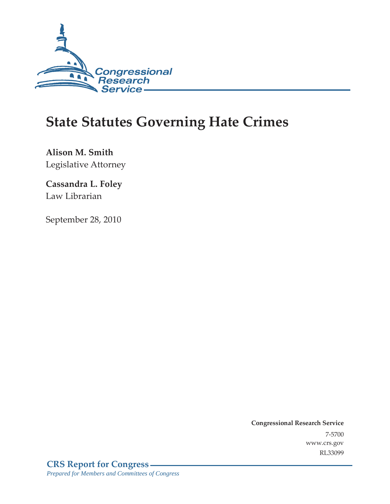

# **State Statutes Governing Hate Crimes**

**Alison M. Smith**  Legislative Attorney

# **Cassandra L. Foley**  Law Librarian

September 28, 2010

**Congressional Research Service** 7-5700 www.crs.gov RL33099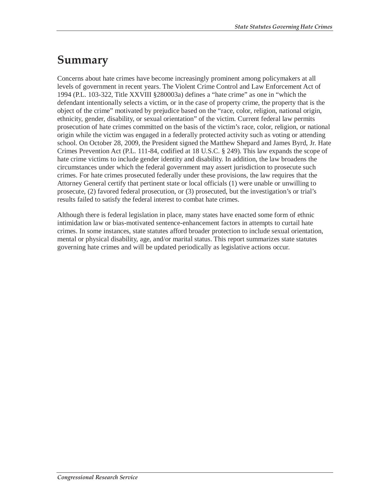# **Summary**

Concerns about hate crimes have become increasingly prominent among policymakers at all levels of government in recent years. The Violent Crime Control and Law Enforcement Act of 1994 (P.L. 103-322, Title XXVIII §280003a) defines a "hate crime" as one in "which the defendant intentionally selects a victim, or in the case of property crime, the property that is the object of the crime" motivated by prejudice based on the "race, color, religion, national origin, ethnicity, gender, disability, or sexual orientation" of the victim. Current federal law permits prosecution of hate crimes committed on the basis of the victim's race, color, religion, or national origin while the victim was engaged in a federally protected activity such as voting or attending school. On October 28, 2009, the President signed the Matthew Shepard and James Byrd, Jr. Hate Crimes Prevention Act (P.L. 111-84, codified at 18 U.S.C. § 249). This law expands the scope of hate crime victims to include gender identity and disability. In addition, the law broadens the circumstances under which the federal government may assert jurisdiction to prosecute such crimes. For hate crimes prosecuted federally under these provisions, the law requires that the Attorney General certify that pertinent state or local officials (1) were unable or unwilling to prosecute, (2) favored federal prosecution, or (3) prosecuted, but the investigation's or trial's results failed to satisfy the federal interest to combat hate crimes.

Although there is federal legislation in place, many states have enacted some form of ethnic intimidation law or bias-motivated sentence-enhancement factors in attempts to curtail hate crimes. In some instances, state statutes afford broader protection to include sexual orientation, mental or physical disability, age, and/or marital status. This report summarizes state statutes governing hate crimes and will be updated periodically as legislative actions occur.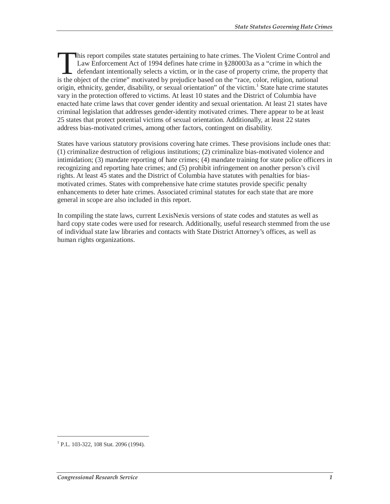his report compiles state statutes pertaining to hate crimes. The Violent Crime Control and Law Enforcement Act of 1994 defines hate crime in §280003a as a "crime in which the defendant intentionally selects a victim, or in the case of property crime, the property that his report compiles state statutes pertaining to hate crimes. The Violent Crime Control<br>Law Enforcement Act of 1994 defines hate crime in §280003a as a "crime in which the<br>defendant intentionally selects a victim, or in th origin, ethnicity, gender, disability, or sexual orientation" of the victim.<sup>1</sup> State hate crime statutes vary in the protection offered to victims. At least 10 states and the District of Columbia have enacted hate crime laws that cover gender identity and sexual orientation. At least 21 states have criminal legislation that addresses gender-identity motivated crimes. There appear to be at least 25 states that protect potential victims of sexual orientation. Additionally, at least 22 states address bias-motivated crimes, among other factors, contingent on disability.

States have various statutory provisions covering hate crimes. These provisions include ones that: (1) criminalize destruction of religious institutions; (2) criminalize bias-motivated violence and intimidation; (3) mandate reporting of hate crimes; (4) mandate training for state police officers in recognizing and reporting hate crimes; and (5) prohibit infringement on another person's civil rights. At least 45 states and the District of Columbia have statutes with penalties for biasmotivated crimes. States with comprehensive hate crime statutes provide specific penalty enhancements to deter hate crimes. Associated criminal statutes for each state that are more general in scope are also included in this report.

In compiling the state laws, current LexisNexis versions of state codes and statutes as well as hard copy state codes were used for research. Additionally, useful research stemmed from the use of individual state law libraries and contacts with State District Attorney's offices, as well as human rights organizations.

-

<sup>&</sup>lt;sup>1</sup> P.L. 103-322, 108 Stat. 2096 (1994).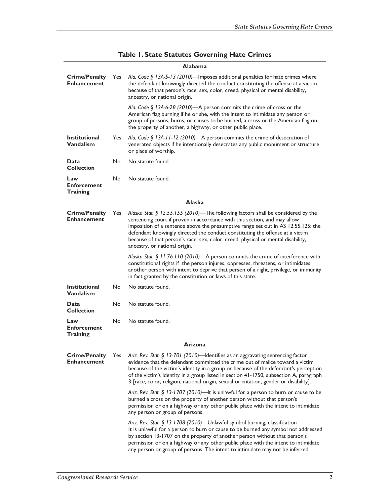|                                              |     | Alabama                                                                                                                                                                                                                                                                                                                                                                                                                                                  |
|----------------------------------------------|-----|----------------------------------------------------------------------------------------------------------------------------------------------------------------------------------------------------------------------------------------------------------------------------------------------------------------------------------------------------------------------------------------------------------------------------------------------------------|
| <b>Crime/Penalty</b><br><b>Enhancement</b>   | Yes | Ala. Code § 13A-5-13 (2010)—Imposes additional penalties for hate crimes where<br>the defendant knowingly directed the conduct constituting the offense at a victim<br>because of that person's race, sex, color, creed, physical or mental disability,<br>ancestry, or national origin.                                                                                                                                                                 |
|                                              |     | Ala. Code § 13A-6-28 (2010)—A person commits the crime of cross or the<br>American flag burning if he or she, with the intent to intimidate any person or<br>group of persons, burns, or causes to be burned, a cross or the American flag on<br>the property of another, a highway, or other public place.                                                                                                                                              |
| <b>Institutional</b><br>Vandalism            | Yes | Ala. Code $\S$ 13A-11-12 (2010)—A person commits the crime of desecration of<br>venerated objects if he intentionally desecrates any public monument or structure<br>or place of worship.                                                                                                                                                                                                                                                                |
| Data<br><b>Collection</b>                    | No  | No statute found.                                                                                                                                                                                                                                                                                                                                                                                                                                        |
| Law<br><b>Enforcement</b><br><b>Training</b> | No. | No statute found.                                                                                                                                                                                                                                                                                                                                                                                                                                        |
|                                              |     | <b>Alaska</b>                                                                                                                                                                                                                                                                                                                                                                                                                                            |
| <b>Crime/Penalty</b><br><b>Enhancement</b>   | Yes | Alaska Stat. § 12.55.155 (2010)—The following factors shall be considered by the<br>sentencing court if proven in accordance with this section, and may allow<br>imposition of a sentence above the presumptive range set out in AS 12.55.125: the<br>defendant knowingly directed the conduct constituting the offense at a victim<br>because of that person's race, sex, color, creed, physical or mental disability,<br>ancestry, or national origin. |
|                                              |     | Alaska Stat. § 11.76.110 (2010)—A person commits the crime of interference with<br>constitutional rights if the person injures, oppresses, threatens, or intimidates<br>another person with intent to deprive that person of a right, privilege, or immunity<br>in fact granted by the constitution or laws of this state.                                                                                                                               |
| <b>Institutional</b><br>Vandalism            | No  | No statute found.                                                                                                                                                                                                                                                                                                                                                                                                                                        |
| Data<br><b>Collection</b>                    | No  | No statute found.                                                                                                                                                                                                                                                                                                                                                                                                                                        |
| Law<br><b>Enforcement</b><br><b>Training</b> | No  | No statute found.                                                                                                                                                                                                                                                                                                                                                                                                                                        |
|                                              |     | Arizona                                                                                                                                                                                                                                                                                                                                                                                                                                                  |
| <b>Crime/Penalty</b><br><b>Enhancement</b>   | Yes | Ariz. Rev. Stat. § 13-701 (2010)—Identifies as an aggravating sentencing factor<br>evidence that the defendant committed the crime out of malice toward a victim<br>because of the victim's identity in a group or because of the defendant's perception<br>of the victim's identity in a group listed in section 41-1750, subsection A, paragraph<br>3 [race, color, religion, national origin, sexual orientation, gender or disability].              |
|                                              |     | Ariz. Rev. Stat. § 13-1707 (2010)—It is unlawful for a person to burn or cause to be<br>burned a cross on the property of another person without that person's<br>permission or on a highway or any other public place with the intent to intimidate<br>any person or group of persons.                                                                                                                                                                  |
|                                              |     | Ariz. Rev. Stat. § 13-1708 (2010)-Unlawful symbol burning; classification<br>It is unlawful for a person to burn or cause to be burned any symbol not addressed<br>by section 13-1707 on the property of another person without that person's<br>permission or on a highway or any other public place with the intent to intimidate<br>any person or group of persons. The intent to intimidate may not be inferred                                      |

## **Table 1. State Statutes Governing Hate Crimes**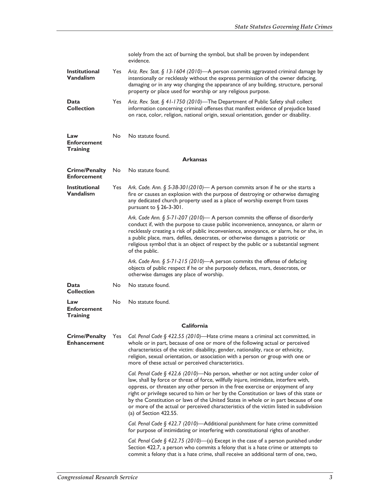|                                              |     | solely from the act of burning the symbol, but shall be proven by independent<br>evidence.                                                                                                                                                                                                                                                                                                                                                                                                                                                                    |
|----------------------------------------------|-----|---------------------------------------------------------------------------------------------------------------------------------------------------------------------------------------------------------------------------------------------------------------------------------------------------------------------------------------------------------------------------------------------------------------------------------------------------------------------------------------------------------------------------------------------------------------|
| <b>Institutional</b><br><b>Vandalism</b>     | Yes | Ariz. Rev. Stat. § 13-1604 (2010)-A person commits aggravated criminal damage by<br>intentionally or recklessly without the express permission of the owner defacing,<br>damaging or in any way changing the appearance of any building, structure, personal<br>property or place used for worship or any religious purpose.                                                                                                                                                                                                                                  |
| Data<br><b>Collection</b>                    | Yes | Ariz. Rev. Stat. § 41-1750 (2010)—The Department of Public Safety shall collect<br>information concerning criminal offenses that manifest evidence of prejudice based<br>on race, color, religion, national origin, sexual orientation, gender or disability.                                                                                                                                                                                                                                                                                                 |
| Law<br><b>Enforcement</b><br><b>Training</b> | No  | No statute found.                                                                                                                                                                                                                                                                                                                                                                                                                                                                                                                                             |
|                                              |     | <b>Arkansas</b>                                                                                                                                                                                                                                                                                                                                                                                                                                                                                                                                               |
| <b>Crime/Penalty</b><br><b>Enforcement</b>   | No  | No statute found.                                                                                                                                                                                                                                                                                                                                                                                                                                                                                                                                             |
| <b>Institutional</b><br><b>Vandalism</b>     | Yes | Ark. Code. Ann. § 5-38-301(2010)— A person commits arson if he or she starts a<br>fire or causes an explosion with the purpose of destroying or otherwise damaging<br>any dedicated church property used as a place of worship exempt from taxes<br>pursuant to $\S$ 26-3-301.                                                                                                                                                                                                                                                                                |
|                                              |     | Ark. Code Ann. § 5-71-207 (2010)— A person commits the offense of disorderly<br>conduct if, with the purpose to cause public inconvenience, annoyance, or alarm or<br>recklessly creating a risk of public inconvenience, annoyance, or alarm, he or she, in<br>a public place, mars, defiles, desecrates, or otherwise damages a patriotic or<br>religious symbol that is an object of respect by the public or a substantial segment<br>of the public.                                                                                                      |
|                                              |     | Ark. Code Ann. § 5-71-215 (2010)—A person commits the offense of defacing<br>objects of public respect if he or she purposely defaces, mars, desecrates, or<br>otherwise damages any place of worship.                                                                                                                                                                                                                                                                                                                                                        |
| Data<br><b>Collection</b>                    | No. | No statute found.                                                                                                                                                                                                                                                                                                                                                                                                                                                                                                                                             |
| Law<br><b>Enforcement</b><br><b>Training</b> | No. | No statute found.                                                                                                                                                                                                                                                                                                                                                                                                                                                                                                                                             |
|                                              |     | California                                                                                                                                                                                                                                                                                                                                                                                                                                                                                                                                                    |
| <b>Enhancement</b>                           |     | Crime/Penalty Yes Cal. Penal Code § 422.55 (2010)—Hate crime means a criminal act committed, in<br>whole or in part, because of one or more of the following actual or perceived<br>characteristics of the victim: disability, gender, nationality, race or ethnicity,<br>religion, sexual orientation, or association with a person or group with one or<br>more of these actual or perceived characteristics.                                                                                                                                               |
|                                              |     | Cal. Penal Code § 422.6 (2010)—No person, whether or not acting under color of<br>law, shall by force or threat of force, willfully injure, intimidate, interfere with,<br>oppress, or threaten any other person in the free exercise or enjoyment of any<br>right or privilege secured to him or her by the Constitution or laws of this state or<br>by the Constitution or laws of the United States in whole or in part because of one<br>or more of the actual or perceived characteristics of the victim listed in subdivision<br>(a) of Section 422.55. |
|                                              |     | Cal. Penal Code $\S$ 422.7 (2010)—Additional punishment for hate crime committed<br>for purpose of intimidating or interfering with constitutional rights of another.                                                                                                                                                                                                                                                                                                                                                                                         |
|                                              |     | Cal. Penal Code $\S$ 422.75 (2010)—(a) Except in the case of a person punished under<br>Section 422.7, a person who commits a felony that is a hate crime or attempts to<br>commit a felony that is a hate crime, shall receive an additional term of one, two,                                                                                                                                                                                                                                                                                               |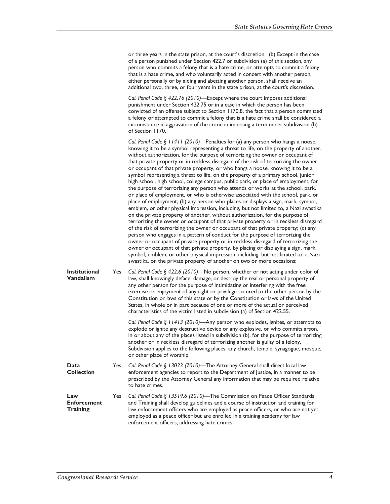or three years in the state prison, at the court's discretion. (b) Except in the case of a person punished under Section 422.7 or subdivision (a) of this section, any person who commits a felony that is a hate crime, or attempts to commit a felony that is a hate crime, and who voluntarily acted in concert with another person, either personally or by aiding and abetting another person, shall receive an additional two, three, or four years in the state prison, at the court's discretion.

*Cal. Penal Code § 422.76 (2010)*—Except where the court imposes additional punishment under Section 422.75 or in a case in which the person has been convicted of an offense subject to Section 1170.8, the fact that a person committed a felony or attempted to commit a felony that is a hate crime shall be considered a circumstance in aggravation of the crime in imposing a term under subdivision (b) of Section 1170.

*Cal. Penal Code § 11411 (2010)*—Penalties for (a) any person who hangs a noose, knowing it to be a symbol representing a threat to life, on the property of another, without authorization, for the purpose of terrorizing the owner or occupant of that private property or in reckless disregard of the risk of terrorizing the owner or occupant of that private property, or who hangs a noose, knowing it to be a symbol representing a threat to life, on the property of a primary school, junior high school, high school, college campus, public park, or place of employment, for the purpose of terrorizing any person who attends or works at the school, park, or place of employment, or who is otherwise associated with the school, park, or place of employment; (b) any person who places or displays a sign, mark, symbol, emblem, or other physical impression, including, but not limited to, a Nazi swastika on the private property of another, without authorization, for the purpose of terrorizing the owner or occupant of that private property or in reckless disregard of the risk of terrorizing the owner or occupant of that private property; (c) any person who engages in a pattern of conduct for the purpose of terrorizing the owner or occupant of private property or in reckless disregard of terrorizing the owner or occupant of that private property, by placing or displaying a sign, mark, symbol, emblem, or other physical impression, including, but not limited to, a Nazi swastika, on the private property of another on two or more occasions;

**Institutional Vandalism**  Yes *Cal. Penal Code § 422.6 (2010)*—No person, whether or not acting under color of law, shall knowingly deface, damage, or destroy the real or personal property of any other person for the purpose of intimidating or interfering with the free exercise or enjoyment of any right or privilege secured to the other person by the Constitution or laws of this state or by the Constitution or laws of the United States, in whole or in part because of one or more of the actual or perceived characteristics of the victim listed in subdivision (a) of Section 422.55.

> *Cal. Penal Code § 11413 (2010)*—Any person who explodes, ignites, or attempts to explode or ignite any destructive device or any explosive, or who commits arson, in or about any of the places listed in subdivision (b), for the purpose of terrorizing another or in reckless disregard of terrorizing another is guilty of a felony, Subdivision applies to the following places: any church, temple, synagogue, mosque, or other place of worship.

**Data Collection**  Yes *Cal. Penal Code § 13023 (2010)*—The Attorney General shall direct local law enforcement agencies to report to the Department of Justice, in a manner to be prescribed by the Attorney General any information that may be required relative to hate crimes.

**Law Enforcement Training**  Yes *Cal. Penal Code § 13519.6 (2010)*—The Commission on Peace Officer Standards and Training shall develop guidelines and a course of instruction and training for law enforcement officers who are employed as peace officers, or who are not yet employed as a peace officer but are enrolled in a training academy for law enforcement officers, addressing hate crimes.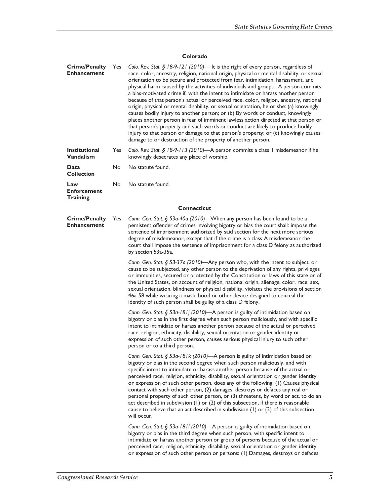#### **Colorado**

| <b>Crime/Penalty</b><br><b>Enhancement</b>   | Yes | Colo. Rev. Stat. $\S$ 18-9-121 (2010)— It is the right of every person, regardless of<br>race, color, ancestry, religion, national origin, physical or mental disability, or sexual<br>orientation to be secure and protected from fear, intimidation, harassment, and<br>physical harm caused by the activities of individuals and groups. A person commits<br>a bias-motivated crime if, with the intent to intimidate or harass another person<br>because of that person's actual or perceived race, color, religion, ancestry, national<br>origin, physical or mental disability, or sexual orientation, he or she: (a) knowingly<br>causes bodily injury to another person; or (b) By words or conduct, knowingly<br>places another person in fear of imminent lawless action directed at that person or<br>that person's property and such words or conduct are likely to produce bodily<br>injury to that person or damage to that person's property; or (c) knowingly causes<br>damage to or destruction of the property of another person. |
|----------------------------------------------|-----|-----------------------------------------------------------------------------------------------------------------------------------------------------------------------------------------------------------------------------------------------------------------------------------------------------------------------------------------------------------------------------------------------------------------------------------------------------------------------------------------------------------------------------------------------------------------------------------------------------------------------------------------------------------------------------------------------------------------------------------------------------------------------------------------------------------------------------------------------------------------------------------------------------------------------------------------------------------------------------------------------------------------------------------------------------|
| <b>Institutional</b><br><b>Vandalism</b>     | Yes | Colo. Rev. Stat. § 18-9-113 (2010)—A person commits a class 1 misdemeanor if he<br>knowingly desecrates any place of worship.                                                                                                                                                                                                                                                                                                                                                                                                                                                                                                                                                                                                                                                                                                                                                                                                                                                                                                                       |
| Data<br><b>Collection</b>                    | No  | No statute found.                                                                                                                                                                                                                                                                                                                                                                                                                                                                                                                                                                                                                                                                                                                                                                                                                                                                                                                                                                                                                                   |
| Law<br><b>Enforcement</b><br><b>Training</b> | No  | No statute found.                                                                                                                                                                                                                                                                                                                                                                                                                                                                                                                                                                                                                                                                                                                                                                                                                                                                                                                                                                                                                                   |
|                                              |     | <b>Connecticut</b>                                                                                                                                                                                                                                                                                                                                                                                                                                                                                                                                                                                                                                                                                                                                                                                                                                                                                                                                                                                                                                  |
| <b>Crime/Penalty</b><br><b>Enhancement</b>   | Yes | Conn. Gen. Stat. § 53a-40a (2010)—When any person has been found to be a<br>persistent offender of crimes involving bigotry or bias the court shall: impose the<br>sentence of imprisonment authorized by said section for the next more serious<br>degree of misdemeanor, except that if the crime is a class A misdemeanor the<br>court shall impose the sentence of imprisonment for a class D felony as authorized<br>by section 53a-35a.<br>Conn. Gen. Stat. § 53-37a (2010)-Any person who, with the intent to subject, or<br>cause to be subjected, any other person to the deprivation of any rights, privileges<br>or immunities, secured or protected by the Constitution or laws of this state or of<br>the United States, on account of religion, national origin, alienage, color, race, sex,                                                                                                                                                                                                                                          |
|                                              |     | sexual orientation, blindness or physical disability, violates the provisions of section<br>46a-58 while wearing a mask, hood or other device designed to conceal the<br>identity of such person shall be guilty of a class D felony.                                                                                                                                                                                                                                                                                                                                                                                                                                                                                                                                                                                                                                                                                                                                                                                                               |
|                                              |     | Conn. Gen. Stat. § 53a-181j (2010)-A person is guilty of intimidation based on<br>bigotry or bias in the first degree when such person maliciously, and with specific<br>intent to intimidate or harass another person because of the actual or perceived<br>race, religion, ethnicity, disability, sexual orientation or gender identity or<br>expression of such other person, causes serious physical injury to such other<br>person or to a third person.                                                                                                                                                                                                                                                                                                                                                                                                                                                                                                                                                                                       |
|                                              |     | Conn. Gen. Stat. § 53a-181k (2010)—A person is guilty of intimidation based on<br>bigotry or bias in the second degree when such person maliciously, and with<br>specific intent to intimidate or harass another person because of the actual or<br>perceived race, religion, ethnicity, disability, sexual orientation or gender identity<br>or expression of such other person, does any of the following: (1) Causes physical<br>contact with such other person, (2) damages, destroys or defaces any real or<br>personal property of such other person, or (3) threatens, by word or act, to do an<br>act described in subdivision (1) or (2) of this subsection, if there is reasonable<br>cause to believe that an act described in subdivision $(1)$ or $(2)$ of this subsection                                                                                                                                                                                                                                                             |

*Conn. Gen. Stat. § 53a-181l (2010)*—A person is guilty of intimidation based on bigotry or bias in the third degree when such person, with specific intent to intimidate or harass another person or group of persons because of the actual or perceived race, religion, ethnicity, disability, sexual orientation or gender identity or expression of such other person or persons: (1) Damages, destroys or defaces

will occur.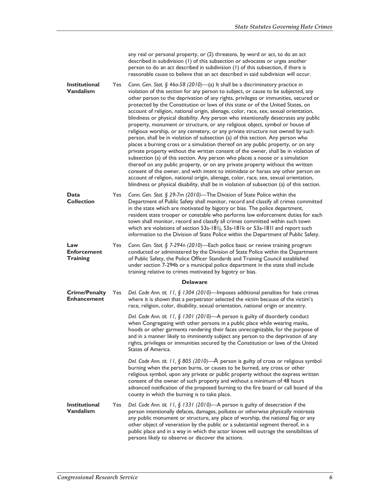any real or personal property, or (2) threatens, by word or act, to do an act described in subdivision (1) of this subsection or advocates or urges another person to do an act described in subdivision (1) of this subsection, if there is reasonable cause to believe that an act described in said subdivision will occur.

**Institutional Vandalism**  Yes *Conn. Gen. Stat. § 46a-58 (2010)*—(a) It shall be a discriminatory practice in violation of this section for any person to subject, or cause to be subjected, any other person to the deprivation of any rights, privileges or immunities, secured or protected by the Constitution or laws of this state or of the United States, on account of religion, national origin, alienage, color, race, sex, sexual orientation, blindness or physical disability. Any person who intentionally desecrates any public property, monument or structure, or any religious object, symbol or house of religious worship, or any cemetery, or any private structure not owned by such person, shall be in violation of subsection (a) of this section. Any person who places a burning cross or a simulation thereof on any public property, or on any private property without the written consent of the owner, shall be in violation of subsection (a) of this section. Any person who places a noose or a simulation thereof on any public property, or on any private property without the written consent of the owner, and with intent to intimidate or harass any other person on account of religion, national origin, alienage, color, race, sex, sexual orientation, blindness or physical disability, shall be in violation of subsection (a) of this section.

**Data Collection**  Yes *Conn. Gen. Stat. § 29-7m (2010)*—The Division of State Police within the Department of Public Safety shall monitor, record and classify all crimes committed in the state which are motivated by bigotry or bias. The police department, resident state trooper or constable who performs law enforcement duties for each town shall monitor, record and classify all crimes committed within such town which are violations of section 53a-181<sub>i</sub>, 53a-181k or 53a-1811 and report such information to the Division of State Police within the Department of Public Safety.

**Law Enforcement Training**  Yes *Conn. Gen. Stat. § 7-294n (2010)*—Each police basic or review training program conducted or administered by the Division of State Police within the Department of Public Safety, the Police Officer Standards and Training Council established under section 7-294b or a municipal police department in the state shall include training relative to crimes motivated by bigotry or bias.

#### **Delaware**

**Crime/Penalty Enhancement**  Yes *Del. Code Ann. tit. 11, § 1304 (2010)*—Imposes additional penalties for hate crimes where it is shown that a perpetrator selected the victim because of the victim's race, religion, color, disability, sexual orientation, national origin or ancestry.

> *Del. Code Ann. tit. 11, § 1301 (2010)*—A person is guilty of disorderly conduct when Congregating with other persons in a public place while wearing masks, hoods or other garments rendering their faces unrecognizable, for the purpose of and in a manner likely to imminently subject any person to the deprivation of any rights, privileges or immunities secured by the Constitution or laws of the United States of America.

*Del. Code Ann. tit. 11, § 805 (2010)*—A person is guilty of cross or religious symbol burning when the person burns, or causes to be burned, any cross or other religious symbol, upon any private or public property without the express written consent of the owner of such property and without a minimum of 48 hours advanced notification of the proposed burning to the fire board or call board of the county in which the burning is to take place.

**Institutional Vandalism**  Yes *Del. Code Ann. tit. 11, § 1331 (2010)*—A person is guilty of desecration if the person intentionally defaces, damages, pollutes or otherwise physically mistreats any public monument or structure, any place of worship, the national flag or any other object of veneration by the public or a substantial segment thereof, in a public place and in a way in which the actor knows will outrage the sensibilities of persons likely to observe or discover the actions.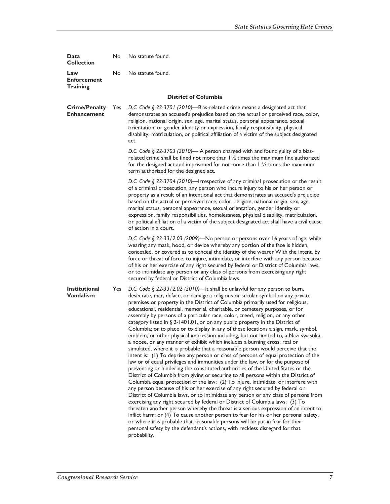| Data<br><b>Collection</b>                    | No  | No statute found.                                                                                                                                                                                                                                                                                                                                                                                                                                                                                                                                                                                                                                                                                                                                                                                                                                                                                                                                                                                                                                                                                                                                                                                                                                                                                                                                                                                                                                                                                                                                                                                                                                                                                                                                                                                                                                                                                              |
|----------------------------------------------|-----|----------------------------------------------------------------------------------------------------------------------------------------------------------------------------------------------------------------------------------------------------------------------------------------------------------------------------------------------------------------------------------------------------------------------------------------------------------------------------------------------------------------------------------------------------------------------------------------------------------------------------------------------------------------------------------------------------------------------------------------------------------------------------------------------------------------------------------------------------------------------------------------------------------------------------------------------------------------------------------------------------------------------------------------------------------------------------------------------------------------------------------------------------------------------------------------------------------------------------------------------------------------------------------------------------------------------------------------------------------------------------------------------------------------------------------------------------------------------------------------------------------------------------------------------------------------------------------------------------------------------------------------------------------------------------------------------------------------------------------------------------------------------------------------------------------------------------------------------------------------------------------------------------------------|
| Law<br><b>Enforcement</b><br><b>Training</b> | No  | No statute found.                                                                                                                                                                                                                                                                                                                                                                                                                                                                                                                                                                                                                                                                                                                                                                                                                                                                                                                                                                                                                                                                                                                                                                                                                                                                                                                                                                                                                                                                                                                                                                                                                                                                                                                                                                                                                                                                                              |
|                                              |     | <b>District of Columbia</b>                                                                                                                                                                                                                                                                                                                                                                                                                                                                                                                                                                                                                                                                                                                                                                                                                                                                                                                                                                                                                                                                                                                                                                                                                                                                                                                                                                                                                                                                                                                                                                                                                                                                                                                                                                                                                                                                                    |
| <b>Crime/Penalty</b><br><b>Enhancement</b>   | Yes | D.C. Code § 22-3701 (2010)—Bias-related crime means a designated act that<br>demonstrates an accused's prejudice based on the actual or perceived race, color,<br>religion, national origin, sex, age, marital status, personal appearance, sexual<br>orientation, or gender identity or expression, family responsibility, physical<br>disability, matriculation, or political affiliation of a victim of the subject designated<br>act.                                                                                                                                                                                                                                                                                                                                                                                                                                                                                                                                                                                                                                                                                                                                                                                                                                                                                                                                                                                                                                                                                                                                                                                                                                                                                                                                                                                                                                                                      |
|                                              |     | D.C. Code $\S$ 22-3703 (2010)— A person charged with and found guilty of a bias-<br>related crime shall be fined not more than $1/2$ times the maximum fine authorized<br>for the designed act and imprisoned for not more than $\frac{1}{2}$ times the maximum<br>term authorized for the designed act.                                                                                                                                                                                                                                                                                                                                                                                                                                                                                                                                                                                                                                                                                                                                                                                                                                                                                                                                                                                                                                                                                                                                                                                                                                                                                                                                                                                                                                                                                                                                                                                                       |
|                                              |     | D.C. Code § 22-3704 (2010)—Irrespective of any criminal prosecution or the result<br>of a criminal prosecution, any person who incurs injury to his or her person or<br>property as a result of an intentional act that demonstrates an accused's prejudice<br>based on the actual or perceived race, color, religion, national origin, sex, age,<br>marital status, personal appearance, sexual orientation, gender identity or<br>expression, family responsibilities, homelessness, physical disability, matriculation,<br>or political affiliation of a victim of the subject designated act shall have a civil cause<br>of action in a court.                                                                                                                                                                                                                                                                                                                                                                                                                                                                                                                                                                                                                                                                                                                                                                                                                                                                                                                                                                                                                                                                                                                                                                                                                                                             |
|                                              |     | D.C. Code § 22-3312.03 (2009)-No person or persons over 16 years of age, while<br>wearing any mask, hood, or device whereby any portion of the face is hidden,<br>concealed, or covered as to conceal the identity of the wearer With the intent, by<br>force or threat of force, to injure, intimidate, or interfere with any person because<br>of his or her exercise of any right secured by federal or District of Columbia laws,<br>or to intimidate any person or any class of persons from exercising any right<br>secured by federal or District of Columbia laws.                                                                                                                                                                                                                                                                                                                                                                                                                                                                                                                                                                                                                                                                                                                                                                                                                                                                                                                                                                                                                                                                                                                                                                                                                                                                                                                                     |
| <b>Institutional</b><br><b>Vandalism</b>     | Yes | D.C. Code § 22-3312.02 (2010)-It shall be unlawful for any person to burn,<br>desecrate, mar, deface, or damage a religious or secular symbol on any private<br>premises or property in the District of Columbia primarily used for religious,<br>educational, residential, memorial, charitable, or cemetery purposes, or for<br>assembly by persons of a particular race, color, creed, religion, or any other<br>category listed in § 2-1401.01, or on any public property in the District of<br>Columbia; or to place or to display in any of these locations a sign, mark, symbol,<br>emblem, or other physical impression including, but not limited to, a Nazi swastika,<br>a noose, or any manner of exhibit which includes a burning cross, real or<br>simulated, where it is probable that a reasonable person would perceive that the<br>intent is: (I) To deprive any person or class of persons of equal protection of the<br>law or of equal privileges and immunities under the law, or for the purpose of<br>preventing or hindering the constituted authorities of the United States or the<br>District of Columbia from giving or securing to all persons within the District of<br>Columbia equal protection of the law; (2) To injure, intimidate, or interfere with<br>any person because of his or her exercise of any right secured by federal or<br>District of Columbia laws, or to intimidate any person or any class of persons from<br>exercising any right secured by federal or District of Columbia laws; (3) To<br>threaten another person whereby the threat is a serious expression of an intent to<br>inflict harm; or (4) To cause another person to fear for his or her personal safety,<br>or where it is probable that reasonable persons will be put in fear for their<br>personal safety by the defendant's actions, with reckless disregard for that<br>probability. |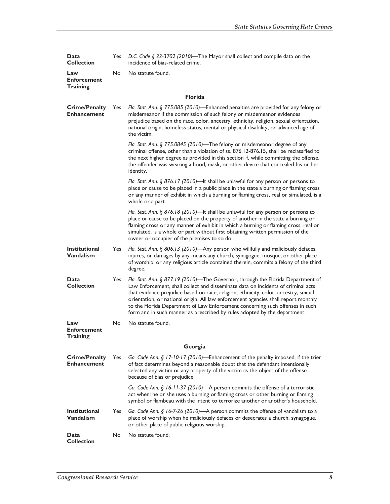| Data<br><b>Collection</b>                    | Yes | D.C. Code § 22-3702 (2010)—The Mayor shall collect and compile data on the<br>incidence of bias-related crime.                                                                                                                                                                                                                                                                                                                                                                                                  |
|----------------------------------------------|-----|-----------------------------------------------------------------------------------------------------------------------------------------------------------------------------------------------------------------------------------------------------------------------------------------------------------------------------------------------------------------------------------------------------------------------------------------------------------------------------------------------------------------|
| Law<br><b>Enforcement</b><br><b>Training</b> | No  | No statute found.                                                                                                                                                                                                                                                                                                                                                                                                                                                                                               |
|                                              |     | <b>Florida</b>                                                                                                                                                                                                                                                                                                                                                                                                                                                                                                  |
| <b>Crime/Penalty</b><br><b>Enhancement</b>   | Yes | Fla. Stat. Ann. § 775.085 (2010)-Enhanced penalties are provided for any felony or<br>misdemeanor if the commission of such felony or misdemeanor evidences<br>prejudice based on the race, color, ancestry, ethnicity, religion, sexual orientation,<br>national origin, homeless status, mental or physical disability, or advanced age of<br>the victim.                                                                                                                                                     |
|                                              |     | Fla. Stat. Ann. § 775.0845 (2010)—The felony or misdemeanor degree of any<br>criminal offense, other than a violation of ss. 876.12-876.15, shall be reclassified to<br>the next higher degree as provided in this section if, while committing the offense,<br>the offender was wearing a hood, mask, or other device that concealed his or her<br>identity.                                                                                                                                                   |
|                                              |     | Fla. Stat. Ann. § 876.17 (2010)—It shall be unlawful for any person or persons to<br>place or cause to be placed in a public place in the state a burning or flaming cross<br>or any manner of exhibit in which a burning or flaming cross, real or simulated, is a<br>whole or a part.                                                                                                                                                                                                                         |
|                                              |     | Fla. Stat. Ann. § 876.18 (2010)—It shall be unlawful for any person or persons to<br>place or cause to be placed on the property of another in the state a burning or<br>flaming cross or any manner of exhibit in which a burning or flaming cross, real or<br>simulated, is a whole or part without first obtaining written permission of the<br>owner or occupier of the premises to so do.                                                                                                                  |
| <b>Institutional</b><br>Vandalism            | Yes | Fla. Stat. Ann. § 806.13 (2010)—Any person who willfully and maliciously defaces,<br>injures, or damages by any means any church, synagogue, mosque, or other place<br>of worship, or any religious article contained therein, commits a felony of the third<br>degree.                                                                                                                                                                                                                                         |
| Data<br><b>Collection</b>                    | Yes | Fla. Stat. Ann. § 877.19 (2010)-The Governor, through the Florida Department of<br>Law Enforcement, shall collect and disseminate data on incidents of criminal acts<br>that evidence prejudice based on race, religion, ethnicity, color, ancestry, sexual<br>orientation, or national origin. All law enforcement agencies shall report monthly<br>to the Florida Department of Law Enforcement concerning such offenses in such<br>form and in such manner as prescribed by rules adopted by the department. |
| Law<br><b>Enforcement</b><br><b>Training</b> | No  | No statute found.                                                                                                                                                                                                                                                                                                                                                                                                                                                                                               |
|                                              |     | Georgia                                                                                                                                                                                                                                                                                                                                                                                                                                                                                                         |
| <b>Crime/Penalty</b><br><b>Enhancement</b>   | Yes | Ga. Code Ann. § 17-10-17 (2010)—Enhancement of the penalty imposed, if the trier<br>of fact determines beyond a reasonable doubt that the defendant intentionally<br>selected any victim or any property of the victim as the object of the offense<br>because of bias or prejudice.                                                                                                                                                                                                                            |
|                                              |     | Ga. Code Ann. § 16-11-37 (2010)—A person commits the offense of a terroristic<br>act when: he or she uses a burning or flaming cross or other burning or flaming<br>symbol or flambeau with the intent to terrorize another or another's household.                                                                                                                                                                                                                                                             |
| <b>Institutional</b><br>Vandalism            | Yes | Ga. Code Ann. § 16-7-26 (2010)-A person commits the offense of vandalism to a<br>place of worship when he maliciously defaces or desecrates a church, synagogue,<br>or other place of public religious worship.                                                                                                                                                                                                                                                                                                 |
| Data<br><b>Collection</b>                    | No. | No statute found.                                                                                                                                                                                                                                                                                                                                                                                                                                                                                               |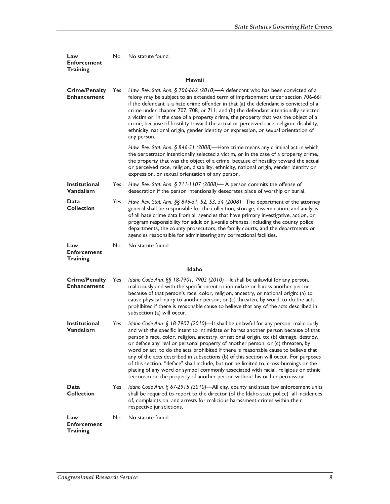| Law<br><b>Enforcement</b><br><b>Training</b> | No  | No statute found.                                                                                                                                                                                                                                                                                                                                                                                                                                                                                                                                                                                                                                                                                                                                                                                 |
|----------------------------------------------|-----|---------------------------------------------------------------------------------------------------------------------------------------------------------------------------------------------------------------------------------------------------------------------------------------------------------------------------------------------------------------------------------------------------------------------------------------------------------------------------------------------------------------------------------------------------------------------------------------------------------------------------------------------------------------------------------------------------------------------------------------------------------------------------------------------------|
|                                              |     | Hawaii                                                                                                                                                                                                                                                                                                                                                                                                                                                                                                                                                                                                                                                                                                                                                                                            |
| <b>Crime/Penalty</b><br><b>Enhancement</b>   | Yes | Haw. Rev. Stat. Ann. § 706-662 (2010)-A defendant who has been convicted of a<br>felony may be subject to an extended term of imprisonment under section 706-661<br>if the defendant is a hate crime offender in that (a) the defendant is convicted of a<br>crime under chapter 707, 708, or 711; and (b) the defendant intentionally selected<br>a victim or, in the case of a property crime, the property that was the object of a<br>crime, because of hostility toward the actual or perceived race, religion, disability,<br>ethnicity, national origin, gender identity or expression, or sexual orientation of<br>any person.                                                                                                                                                            |
|                                              |     | Haw. Rev. Stat. Ann. § 846-51 (2008)—Hate crime means any criminal act in which<br>the perpetrator intentionally selected a victim, or in the case of a property crime,<br>the property that was the object of a crime, because of hostility toward the actual<br>or perceived race, religion, disability, ethnicity, national origin, gender identity or<br>expression, or sexual orientation of any person.                                                                                                                                                                                                                                                                                                                                                                                     |
| <b>Institutional</b><br>Vandalism            | Yes | Haw. Rev. Stat. Ann. § 711-1107 (2008)— A person commits the offense of<br>desecration if the person intentionally desecrates place of worship or burial.                                                                                                                                                                                                                                                                                                                                                                                                                                                                                                                                                                                                                                         |
| Data<br><b>Collection</b>                    | Yes | Haw. Rev. Stat. Ann. §§ 846-51, 52, 53, 54 (2008)- The department of the attorney<br>general shall be responsible for the collection, storage, dissemination, and analysis<br>of all hate crime data from all agencies that have primary investigative, action, or<br>program responsibility for adult or juvenile offenses, including the county police<br>departments, the county prosecutors, the family courts, and the departments or<br>agencies responsible for administering any correctional facilities.                                                                                                                                                                                                                                                                                 |
| Law<br><b>Enforcement</b><br><b>Training</b> | No  | No statute found.                                                                                                                                                                                                                                                                                                                                                                                                                                                                                                                                                                                                                                                                                                                                                                                 |
|                                              |     | Idaho                                                                                                                                                                                                                                                                                                                                                                                                                                                                                                                                                                                                                                                                                                                                                                                             |
| <b>Crime/Penalty</b><br><b>Enhancement</b>   | Yes | Idaho Code Ann. §§ 18-7901, 7902 (2010)-It shall be unlawful for any person,<br>maliciously and with the specific intent to intimidate or harass another person<br>because of that person's race, color, religion, ancestry, or national origin: (a) to<br>cause physical injury to another person; or (c) threaten, by word, to do the acts<br>prohibited if there is reasonable cause to believe that any of the acts described in<br>subsection (a) will occur.                                                                                                                                                                                                                                                                                                                                |
| <b>Institutional</b><br>Vandalism            | Yes | Idaho Code Ann. § 18-7902 (2010)—It shall be unlawful for any person, maliciously<br>and with the specific intent to intimidate or harass another person because of that<br>person's race, color, religion, ancestry, or national origin, to: (b) damage, destroy,<br>or deface any real or personal property of another person; or (c) threaten, by<br>word or act, to do the acts prohibited if there is reasonable cause to believe that<br>any of the acts described in subsections (b) of this section will occur. For purposes<br>of this section, "deface" shall include, but not be limited to, cross-burnings or the<br>placing of any word or symbol commonly associated with racial, religious or ethnic<br>terrorism on the property of another person without his or her permission. |
| Data<br><b>Collection</b>                    | Yes | Idaho Code Ann. § 67-2915 (2010)—All city, county and state law enforcement units<br>shall be required to report to the director (of the Idaho state police) all incidences<br>of, complaints on, and arrests for malicious harassment crimes within their<br>respective jurisdictions.                                                                                                                                                                                                                                                                                                                                                                                                                                                                                                           |
| Law<br><b>Enforcement</b><br><b>Training</b> | No  | No statute found.                                                                                                                                                                                                                                                                                                                                                                                                                                                                                                                                                                                                                                                                                                                                                                                 |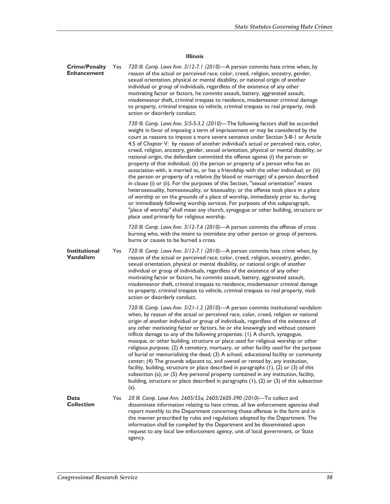#### **Crime/Penalty Enhancement**  Yes *720 Ill. Comp. Laws Ann. 5/12-7.1 (2010)—*A person commits hate crime when, by reason of the actual or perceived race, color, creed, religion, ancestry, gender, sexual orientation, physical or mental disability, or national origin of another individual or group of individuals, regardless of the existence of any other motivating factor or factors, he commits assault, battery, aggravated assault, misdemeanor theft, criminal trespass to residence, misdemeanor criminal damage to property, criminal trespass to vehicle, criminal trespass to real property, mob action or disorderly conduct. *730 Ill. Comp. Laws Ann. 5/5-5-3.2 (2010)*—The following factors shall be accorded weight in favor of imposing a term of imprisonment or may be considered by the court as reasons to impose a more severe sentence under Section 5-8-1 or Article 4.5 of Chapter V: by reason of another individual's actual or perceived race, color, creed, religion, ancestry, gender, sexual orientation, physical or mental disability, or national origin, the defendant committed the offense against (i) the person or property of that individual; (ii) the person or property of a person who has an association with, is married to, or has a friendship with the other individual; or (iii) the person or property of a relative (by blood or marriage) of a person described in clause (i) or (ii). For the purposes of this Section, "sexual orientation" means heterosexuality, homosexuality, or bisexuality; or the offense took place in a place of worship or on the grounds of a place of worship, immediately prior to, during or immediately following worship services. For purposes of this subparagraph, "place of worship" shall mean any church, synagogue or other building, structure or place used primarily for religious worship. *720 Ill. Comp. Laws Ann. 5/12-7.6 (2010)*—A person commits the offense of cross burning who, with the intent to intimidate any other person or group of persons, burns or causes to be burned a cross. **Institutional Vandalism**  Yes *720 Ill. Comp. Laws Ann. 5/12-7.1 (2010)*—A person commits hate crime when, by reason of the actual or perceived race, color, creed, religion, ancestry, gender, sexual orientation, physical or mental disability, or national origin of another individual or group of individuals, regardless of the existence of any other motivating factor or factors, he commits assault, battery, aggravated assault, misdemeanor theft, criminal trespass to residence, misdemeanor criminal damage to property, criminal trespass to vehicle, criminal trespass to real property, mob action or disorderly conduct. *720 Ill. Comp. Laws Ann. 5/21-1.2 (2010*)—A person commits institutional vandalism when, by reason of the actual or perceived race, color, creed, religion or national origin of another individual or group of individuals, regardless of the existence of any other motivating factor or factors, he or she knowingly and without consent inflicts damage to any of the following properties: (1) A church, synagogue, mosque, or other building, structure or place used for religious worship or other religious purpose; (2) A cemetery, mortuary, or other facility used for the purpose of burial or memorializing the dead; (3) A school, educational facility or community center; (4) The grounds adjacent to, and owned or rented by, any institution, facility, building, structure or place described in paragraphs (1), (2) or (3) of this subsection (a); or (5) Any personal property contained in any institution, facility, building, structure or place described in paragraphs (1), (2) or (3) of this subsection (a). **Data Collection**  Yes *20 Ill. Comp. Laws Ann. 2605/55a, 2605/2605-390 (2010)*—To collect and disseminate information relating to hate crimes, all law enforcement agencies shall report monthly to the Department concerning those offenses in the form and in the manner prescribed by rules and regulations adopted by the Department. The

information shall be compiled by the Department and be disseminated upon request to any local law enforcement agency, unit of local government, or State

**Illinois** 

agency.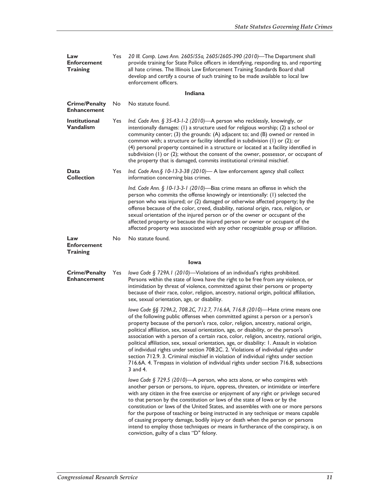| Law<br><b>Enforcement</b><br><b>Training</b> | Yes | 20 III. Comp. Laws Ann. 2605/55a, 2605/2605-390 (2010)-The Department shall<br>provide training for State Police officers in identifying, responding to, and reporting<br>all hate crimes. The Illinois Law Enforcement Training Standards Board shall<br>develop and certify a course of such training to be made available to local law<br>enforcement officers.                                                                                                                                                                                                                                                                                                                                                                                                                                                          |
|----------------------------------------------|-----|-----------------------------------------------------------------------------------------------------------------------------------------------------------------------------------------------------------------------------------------------------------------------------------------------------------------------------------------------------------------------------------------------------------------------------------------------------------------------------------------------------------------------------------------------------------------------------------------------------------------------------------------------------------------------------------------------------------------------------------------------------------------------------------------------------------------------------|
|                                              |     | <b>Indiana</b>                                                                                                                                                                                                                                                                                                                                                                                                                                                                                                                                                                                                                                                                                                                                                                                                              |
| <b>Crime/Penalty</b><br><b>Enhancement</b>   | No. | No statute found.                                                                                                                                                                                                                                                                                                                                                                                                                                                                                                                                                                                                                                                                                                                                                                                                           |
| <b>Institutional</b><br>Vandalism            | Yes | Ind. Code Ann. § 35-43-1-2 (2010)-A person who recklessly, knowingly, or<br>intentionally damages: (1) a structure used for religious worship; (2) a school or<br>community center; (3) the grounds: (A) adjacent to; and (B) owned or rented in<br>common with; a structure or facility identified in subdivision (1) or (2); or<br>(4) personal property contained in a structure or located at a facility identified in<br>subdivision (1) or (2); without the consent of the owner, possessor, or occupant of<br>the property that is damaged, commits institutional criminal mischief.                                                                                                                                                                                                                                 |
| Data<br><b>Collection</b>                    | Yes | Ind. Code Ann. § 10-13-3-38 (2010)- A law enforcement agency shall collect<br>information concerning bias crimes.                                                                                                                                                                                                                                                                                                                                                                                                                                                                                                                                                                                                                                                                                                           |
|                                              |     | Ind. Code Ann. $\S$ 10-13-3-1 (2010)—Bias crime means an offense in which the<br>person who commits the offense knowingly or intentionally: (1) selected the<br>person who was injured; or (2) damaged or otherwise affected property; by the<br>offense because of the color, creed, disability, national origin, race, religion, or<br>sexual orientation of the injured person or of the owner or occupant of the<br>affected property or because the injured person or owner or occupant of the<br>affected property was associated with any other recognizable group or affiliation.                                                                                                                                                                                                                                   |
| Law<br><b>Enforcement</b><br><b>Training</b> | No. | No statute found.                                                                                                                                                                                                                                                                                                                                                                                                                                                                                                                                                                                                                                                                                                                                                                                                           |
|                                              |     | <b>lowa</b>                                                                                                                                                                                                                                                                                                                                                                                                                                                                                                                                                                                                                                                                                                                                                                                                                 |
| <b>Crime/Penalty</b><br><b>Enhancement</b>   | Yes | lowa Code § 729A.1 (2010)-Violations of an individual's rights prohibited.<br>Persons within the state of lowa have the right to be free from any violence, or<br>intimidation by threat of violence, committed against their persons or property<br>because of their race, color, religion, ancestry, national origin, political affiliation,<br>sex, sexual orientation, age, or disability.                                                                                                                                                                                                                                                                                                                                                                                                                              |
|                                              |     | lowa Code §§ 729A.2, 708.2C, 712.7, 716.6A, 716.8 (2010)—Hate crime means one<br>of the following public offenses when committed against a person or a person's<br>property because of the person's race, color, religion, ancestry, national origin,<br>political affiliation, sex, sexual orientation, age, or disability, or the person's<br>association with a person of a certain race, color, religion, ancestry, national origin,<br>political affiliation, sex, sexual orientation, age, or disability: 1. Assault in violation<br>of individual rights under section 708.2C. 2. Violations of individual rights under<br>section 712.9. 3. Criminal mischief in violation of individual rights under section<br>716.6A. 4. Trespass in violation of individual rights under section 716.8, subsections<br>3 and 4. |
|                                              |     | lowa Code § 729.5 (2010)—A person, who acts alone, or who conspires with<br>another person or persons, to injure, oppress, threaten, or intimidate or interfere<br>with any citizen in the free exercise or enjoyment of any right or privilege secured<br>to that person by the constitution or laws of the state of lowa or by the<br>constitution or laws of the United States, and assembles with one or more persons<br>for the purpose of teaching or being instructed in any technique or means capable<br>of causing property damage, bodily injury or death when the person or persons<br>intend to employ those techniques or means in furtherance of the conspiracy, is on<br>conviction, guilty of a class "D" felony.                                                                                          |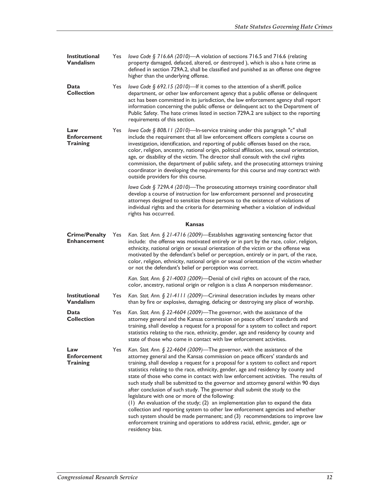| <b>Institutional</b><br>Vandalism            | Yes | lowa Code § 716.6A (2010)—A violation of sections 716.5 and 716.6 (relating<br>property damaged, defaced, altered, or destroyed), which is also a hate crime as<br>defined in section 729A.2, shall be classified and punished as an offense one degree<br>higher than the underlying offense.                                                                                                                                                                                                                                                                                                                                                                                                                                                                                                                                                                                                                                                                                                          |
|----------------------------------------------|-----|---------------------------------------------------------------------------------------------------------------------------------------------------------------------------------------------------------------------------------------------------------------------------------------------------------------------------------------------------------------------------------------------------------------------------------------------------------------------------------------------------------------------------------------------------------------------------------------------------------------------------------------------------------------------------------------------------------------------------------------------------------------------------------------------------------------------------------------------------------------------------------------------------------------------------------------------------------------------------------------------------------|
| Data<br><b>Collection</b>                    | Yes | lowa Code § 692.15 (2010)—If it comes to the attention of a sheriff, police<br>department, or other law enforcement agency that a public offense or delinquent<br>act has been committed in its jurisdiction, the law enforcement agency shall report<br>information concerning the public offense or delinquent act to the Department of<br>Public Safety. The hate crimes listed in section 729A.2 are subject to the reporting<br>requirements of this section.                                                                                                                                                                                                                                                                                                                                                                                                                                                                                                                                      |
| Law<br><b>Enforcement</b><br><b>Training</b> | Yes | lowa Code § 80B.11 (2010)-In-service training under this paragraph "c" shall<br>include the requirement that all law enforcement officers complete a course on<br>investigation, identification, and reporting of public offenses based on the race,<br>color, religion, ancestry, national origin, political affiliation, sex, sexual orientation,<br>age, or disability of the victim. The director shall consult with the civil rights<br>commission, the department of public safety, and the prosecuting attorneys training<br>coordinator in developing the requirements for this course and may contract with<br>outside providers for this course.                                                                                                                                                                                                                                                                                                                                              |
|                                              |     | lowa Code § 729A.4 (2010)—The prosecuting attorneys training coordinator shall<br>develop a course of instruction for law enforcement personnel and prosecuting<br>attorneys designed to sensitize those persons to the existence of violations of<br>individual rights and the criteria for determining whether a violation of individual<br>rights has occurred.                                                                                                                                                                                                                                                                                                                                                                                                                                                                                                                                                                                                                                      |
|                                              |     | Kansas                                                                                                                                                                                                                                                                                                                                                                                                                                                                                                                                                                                                                                                                                                                                                                                                                                                                                                                                                                                                  |
| <b>Crime/Penalty</b><br><b>Enhancement</b>   | Yes | Kan. Stat. Ann. § 21-4716 (2009)-Establishes aggravating sentencing factor that<br>include: the offense was motivated entirely or in part by the race, color, religion,<br>ethnicity, national origin or sexual orientation of the victim or the offense was<br>motivated by the defendant's belief or perception, entirely or in part, of the race,<br>color, religion, ethnicity, national origin or sexual orientation of the victim whether<br>or not the defendant's belief or perception was correct.                                                                                                                                                                                                                                                                                                                                                                                                                                                                                             |
|                                              |     | Kan. Stat. Ann. § 21-4003 (2009)—Denial of civil rights on account of the race,<br>color, ancestry, national origin or religion is a class A nonperson misdemeanor.                                                                                                                                                                                                                                                                                                                                                                                                                                                                                                                                                                                                                                                                                                                                                                                                                                     |
| <b>Institutional</b><br><b>Vandalism</b>     | Yes | Kan. Stat. Ann. § 21-4111 (2009)—Criminal desecration includes by means other<br>than by fire or explosive, damaging, defacing or destroying any place of worship.                                                                                                                                                                                                                                                                                                                                                                                                                                                                                                                                                                                                                                                                                                                                                                                                                                      |
| Data<br><b>Collection</b>                    | Yes | Kan. Stat. Ann. § 22-4604 (2009)—The governor, with the assistance of the<br>attorney general and the Kansas commission on peace officers' standards and<br>training, shall develop a request for a proposal for a system to collect and report<br>statistics relating to the race, ethnicity, gender, age and residency by county and<br>state of those who come in contact with law enforcement activities.                                                                                                                                                                                                                                                                                                                                                                                                                                                                                                                                                                                           |
| Law<br><b>Enforcement</b><br><b>Training</b> | Yes | Kan. Stat. Ann. § 22-4604 (2009)—The governor, with the assistance of the<br>attorney general and the Kansas commission on peace officers' standards and<br>training, shall develop a request for a proposal for a system to collect and report<br>statistics relating to the race, ethnicity, gender, age and residency by county and<br>state of those who come in contact with law enforcement activities. The results of<br>such study shall be submitted to the governor and attorney general within 90 days<br>after conclusion of such study. The governor shall submit the study to the<br>legislature with one or more of the following:<br>(1) An evaluation of the study; (2) an implementation plan to expand the data<br>collection and reporting system to other law enforcement agencies and whether<br>such system should be made permanent; and (3) recommendations to improve law<br>enforcement training and operations to address racial, ethnic, gender, age or<br>residency bias. |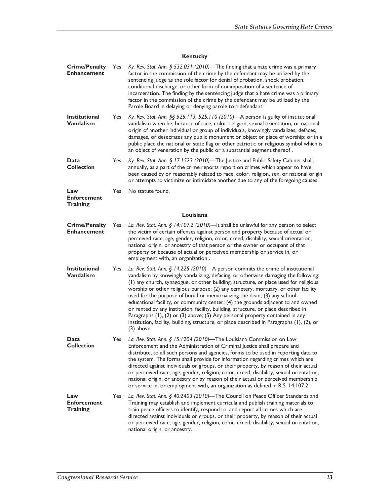## **Kentucky**

| <b>Crime/Penalty</b><br><b>Enhancement</b>   | Yes  | Ky. Rev. Stat. Ann. § 532.031 (2010)-The finding that a hate crime was a primary<br>factor in the commission of the crime by the defendant may be utilized by the<br>sentencing judge as the sole factor for denial of probation, shock probation,<br>conditional discharge, or other form of nonimposition of a sentence of<br>incarceration. The finding by the sentencing judge that a hate crime was a primary<br>factor in the commission of the crime by the defendant may be utilized by the<br>Parole Board in delaying or denying parole to a defendant.                                                                                                                                                                                                                                      |
|----------------------------------------------|------|--------------------------------------------------------------------------------------------------------------------------------------------------------------------------------------------------------------------------------------------------------------------------------------------------------------------------------------------------------------------------------------------------------------------------------------------------------------------------------------------------------------------------------------------------------------------------------------------------------------------------------------------------------------------------------------------------------------------------------------------------------------------------------------------------------|
| <b>Institutional</b><br><b>Vandalism</b>     | Yes  | Ky. Rev. Stat. Ann. §§ 525.113, 525.110 (2010)-A person is guilty of institutional<br>vandalism when he, because of race, color, religion, sexual orientation, or national<br>origin of another individual or group of individuals, knowingly vandalizes, defaces,<br>damages, or desecrates any public monument or object or place of worship; or in a<br>public place the national or state flag or other patriotic or religious symbol which is<br>an object of veneration by the public or a substantial segment thereof.                                                                                                                                                                                                                                                                          |
| Data<br><b>Collection</b>                    | Yes  | Ky. Rev. Stat. Ann. § 17.1523 (2010)-The Justice and Public Safety Cabinet shall,<br>annually, as a part of the crime reports report on crimes which appear to have<br>been caused by or reasonably related to race, color, religion, sex, or national origin<br>or attempts to victimize or intimidate another due to any of the foregoing causes.                                                                                                                                                                                                                                                                                                                                                                                                                                                    |
| Law<br><b>Enforcement</b><br><b>Training</b> | Yes. | No statute found.                                                                                                                                                                                                                                                                                                                                                                                                                                                                                                                                                                                                                                                                                                                                                                                      |
|                                              |      | Louisiana                                                                                                                                                                                                                                                                                                                                                                                                                                                                                                                                                                                                                                                                                                                                                                                              |
| <b>Crime/Penalty</b><br><b>Enhancement</b>   | Yes  | La. Rev. Stat. Ann. § 14:107.2 (2010)—It shall be unlawful for any person to select<br>the victim of certain offenses against person and property because of actual or<br>perceived race, age, gender, religion, color, creed, disability, sexual orientation,<br>national origin, or ancestry of that person or the owner or occupant of that<br>property or because of actual or perceived membership or service in, or<br>employment with, an organization.                                                                                                                                                                                                                                                                                                                                         |
| <b>Institutional</b><br>Vandalism            | Yes  | La. Rev. Stat. Ann. § 14.225 (2010)-A person commits the crime of institutional<br>vandalism by knowingly vandalizing, defacing, or otherwise damaging the following:<br>(I) any church, synagogue, or other building, structure, or place used for religious<br>worship or other religious purpose; (2) any cemetery, mortuary, or other facility<br>used for the purpose of burial or memorializing the dead; (3) any school,<br>educational facility, or community center; (4) the grounds adjacent to and owned<br>or rented by any institution, facility, building, structure, or place described in<br>Paragraphs (1), (2) or (3) above; (5) Any personal property contained in any<br>institution, facility, building, structure, or place described in Paragraphs (1), (2), or<br>$(3)$ above. |
| Data<br><b>Collection</b>                    | Yes  | La. Rev. Stat. Ann. § 15:1204 (2010)-The Louisiana Commission on Law<br>Enforcement and the Administration of Criminal Justice shall prepare and<br>distribute, to all such persons and agencies, forms to be used in reporting data to<br>the system. The forms shall provide for information regarding crimes which are<br>directed against individuals or groups, or their property, by reason of their actual<br>or perceived race, age, gender, religion, color, creed, disability, sexual orientation,<br>national origin, or ancestry or by reason of their actual or perceived membership<br>or service in, or employment with, an organization as defined in R.S. 14:107.2.                                                                                                                   |
| Law<br><b>Enforcement</b><br><b>Training</b> | Yes  | La. Rev. Stat. Ann. § 40:2403 (2010)-The Council on Peace Officer Standards and<br>Training may establish and implement curricula and publish training materials to<br>train peace officers to identify, respond to, and report all crimes which are<br>directed against individuals or groups, or their property, by reason of their actual<br>or perceived race, age, gender, religion, color, creed, disability, sexual orientation,<br>national origin, or ancestry.                                                                                                                                                                                                                                                                                                                               |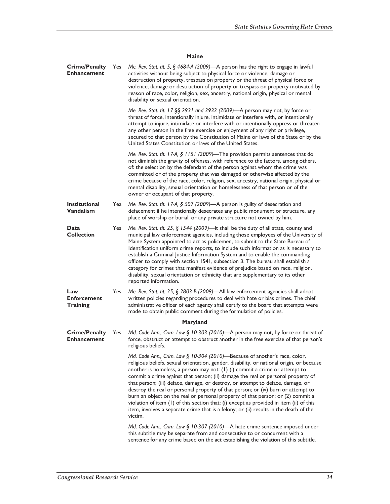|                                              |     | <b>Maine</b>                                                                                                                                                                                                                                                                                                                                                                                                                                                                                                                                                                                                                                                                                                                                                                                                 |
|----------------------------------------------|-----|--------------------------------------------------------------------------------------------------------------------------------------------------------------------------------------------------------------------------------------------------------------------------------------------------------------------------------------------------------------------------------------------------------------------------------------------------------------------------------------------------------------------------------------------------------------------------------------------------------------------------------------------------------------------------------------------------------------------------------------------------------------------------------------------------------------|
| <b>Crime/Penalty</b><br><b>Enhancement</b>   | Yes | Me. Rev. Stat. tit. 5, § 4684-A (2009)-A person has the right to engage in lawful<br>activities without being subject to physical force or violence, damage or<br>destruction of property, trespass on property or the threat of physical force or<br>violence, damage or destruction of property or trespass on property motivated by<br>reason of race, color, religion, sex, ancestry, national origin, physical or mental<br>disability or sexual orientation.                                                                                                                                                                                                                                                                                                                                           |
|                                              |     | Me. Rev. Stat. tit. 17 §§ 2931 and 2932 (2009)—A person may not, by force or<br>threat of force, intentionally injure, intimidate or interfere with, or intentionally<br>attempt to injure, intimidate or interfere with or intentionally oppress or threaten<br>any other person in the free exercise or enjoyment of any right or privilege,<br>secured to that person by the Constitution of Maine or laws of the State or by the<br>United States Constitution or laws of the United States.                                                                                                                                                                                                                                                                                                             |
|                                              |     | Me. Rev. Stat. tit. 17-A, § 1151 (2009)—The provision permits sentences that do<br>not diminish the gravity of offenses, with reference to the factors, among others,<br>of: the selection by the defendant of the person against whom the crime was<br>committed or of the property that was damaged or otherwise affected by the<br>crime because of the race, color, religion, sex, ancestry, national origin, physical or<br>mental disability, sexual orientation or homelessness of that person or of the<br>owner or occupant of that property.                                                                                                                                                                                                                                                       |
| <b>Institutional</b><br><b>Vandalism</b>     | Yea | Me. Rev. Stat. tit. 17-A, § 507 (2009)-A person is guilty of desecration and<br>defacement if he intentionally desecrates any public monument or structure, any<br>place of worship or burial, or any private structure not owned by him.                                                                                                                                                                                                                                                                                                                                                                                                                                                                                                                                                                    |
| Data<br><b>Collection</b>                    | Yes | Me. Rev. Stat. tit. 25, § 1544 (2009)-It shall be the duty of all state, county and<br>municipal law enforcement agencies, including those employees of the University of<br>Maine System appointed to act as policemen, to submit to the State Bureau of<br>Identification uniform crime reports, to include such information as is necessary to<br>establish a Criminal Justice Information System and to enable the commanding<br>officer to comply with section 1541, subsection 3. The bureau shall establish a<br>category for crimes that manifest evidence of prejudice based on race, religion,<br>disability, sexual orientation or ethnicity that are supplementary to its other<br>reported information.                                                                                         |
| Law<br><b>Enforcement</b><br><b>Training</b> | Yes | Me. Rev. Stat. tit. 25, § 2803-B (2009)-All law enforcement agencies shall adopt<br>written policies regarding procedures to deal with hate or bias crimes. The chief<br>administrative officer of each agency shall certify to the board that attempts were<br>made to obtain public comment during the formulation of policies.                                                                                                                                                                                                                                                                                                                                                                                                                                                                            |
|                                              |     | Maryland                                                                                                                                                                                                                                                                                                                                                                                                                                                                                                                                                                                                                                                                                                                                                                                                     |
| <b>Crime/Penalty</b> Yes<br>Enhancement      |     | Md. Code Ann., Crim. Law § 10-303 (2010)-A person may not, by force or threat of<br>force, obstruct or attempt to obstruct another in the free exercise of that person's<br>religious beliefs.                                                                                                                                                                                                                                                                                                                                                                                                                                                                                                                                                                                                               |
|                                              |     | Md. Code Ann., Crim. Law $\S$ 10-304 (2010)—Because of another's race, color,<br>religious beliefs, sexual orientation, gender, disability, or national origin, or because<br>another is homeless, a person may not: $(1)$ $(i)$ commit a crime or attempt to<br>commit a crime against that person; (ii) damage the real or personal property of<br>that person; (iii) deface, damage, or destroy, or attempt to deface, damage, or<br>destroy the real or personal property of that person; or (iv) burn or attempt to<br>burn an object on the real or personal property of that person; or (2) commit a<br>violation of item $(1)$ of this section that: (i) except as provided in item (ii) of this<br>item, involves a separate crime that is a felony; or (ii) results in the death of the<br>victim. |
|                                              |     | Md. Code Ann., Crim. Law § 10-307 (2010)-A hate crime sentence imposed under<br>this subtitle may be separate from and consecutive to or concurrent with a<br>sentence for any crime based on the act establishing the violation of this subtitle.                                                                                                                                                                                                                                                                                                                                                                                                                                                                                                                                                           |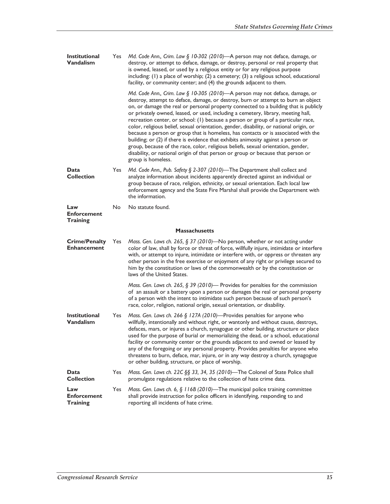| <b>Institutional</b><br>Vandalism            | Yes | Md. Code Ann., Crim. Law § 10-302 (2010)-A person may not deface, damage, or<br>destroy, or attempt to deface, damage, or destroy, personal or real property that<br>is owned, leased, or used by a religious entity or for any religious purpose<br>including: (I) a place of worship; (2) a cemetery; (3) a religious school, educational<br>facility, or community center; and (4) the grounds adjacent to them.                                                                                                                                                                                                                                                                                                                                                                                                                                                                                      |
|----------------------------------------------|-----|----------------------------------------------------------------------------------------------------------------------------------------------------------------------------------------------------------------------------------------------------------------------------------------------------------------------------------------------------------------------------------------------------------------------------------------------------------------------------------------------------------------------------------------------------------------------------------------------------------------------------------------------------------------------------------------------------------------------------------------------------------------------------------------------------------------------------------------------------------------------------------------------------------|
|                                              |     | Md. Code Ann., Crim. Law § 10-305 (2010)-A person may not deface, damage, or<br>destroy, attempt to deface, damage, or destroy, burn or attempt to burn an object<br>on, or damage the real or personal property connected to a building that is publicly<br>or privately owned, leased, or used, including a cemetery, library, meeting hall,<br>recreation center, or school: (1) because a person or group of a particular race,<br>color, religious belief, sexual orientation, gender, disability, or national origin, or<br>because a person or group that is homeless, has contacts or is associated with the<br>building; or (2) if there is evidence that exhibits animosity against a person or<br>group, because of the race, color, religious beliefs, sexual orientation, gender,<br>disability, or national origin of that person or group or because that person or<br>group is homeless. |
| Data<br><b>Collection</b>                    | Yes | Md. Code Ann., Pub. Safety § 2-307 (2010)—The Department shall collect and<br>analyze information about incidents apparently directed against an individual or<br>group because of race, religion, ethnicity, or sexual orientation. Each local law<br>enforcement agency and the State Fire Marshal shall provide the Department with<br>the information.                                                                                                                                                                                                                                                                                                                                                                                                                                                                                                                                               |
| Law<br><b>Enforcement</b><br><b>Training</b> | No  | No statute found.                                                                                                                                                                                                                                                                                                                                                                                                                                                                                                                                                                                                                                                                                                                                                                                                                                                                                        |
|                                              |     | <b>Massachusetts</b>                                                                                                                                                                                                                                                                                                                                                                                                                                                                                                                                                                                                                                                                                                                                                                                                                                                                                     |
| <b>Crime/Penalty</b><br><b>Enhancement</b>   | Yes | Mass. Gen. Laws ch. 265, § 37 (2010)-No person, whether or not acting under<br>color of law, shall by force or threat of force, willfully injure, intimidate or interfere<br>with, or attempt to injure, intimidate or interfere with, or oppress or threaten any<br>other person in the free exercise or enjoyment of any right or privilege secured to<br>him by the constitution or laws of the commonwealth or by the constitution or<br>laws of the United States.                                                                                                                                                                                                                                                                                                                                                                                                                                  |
|                                              |     | Mass. Gen. Laws ch. 265, § 39 (2010)- Provides for penalties for the commission<br>of an assault or a battery upon a person or damages the real or personal property<br>of a person with the intent to intimidate such person because of such person's<br>race, color, religion, national origin, sexual orientation, or disability.                                                                                                                                                                                                                                                                                                                                                                                                                                                                                                                                                                     |
| <b>Institutional</b><br><b>Vandalism</b>     | Yes | Mass. Gen. Laws ch. 266 § 127A (2010)-Provides penalties for anyone who<br>willfully, intentionally and without right, or wantonly and without cause, destroys,<br>defaces, mars, or injures a church, synagogue or other building, structure or place<br>used for the purpose of burial or memorializing the dead, or a school, educational<br>facility or community center or the grounds adjacent to and owned or leased by<br>any of the foregoing or any personal property. Provides penalties for anyone who<br>threatens to burn, deface, mar, injure, or in any way destroy a church, synagogue<br>or other building, structure, or place of worship.                                                                                                                                                                                                                                            |
| Data<br><b>Collection</b>                    | Yes | Mass. Gen. Laws ch. 22C §§ 33, 34, 35 (2010)-The Colonel of State Police shall<br>promulgate regulations relative to the collection of hate crime data.                                                                                                                                                                                                                                                                                                                                                                                                                                                                                                                                                                                                                                                                                                                                                  |
| Law<br><b>Enforcement</b><br><b>Training</b> | Yes | Mass. Gen. Laws ch. 6, § 116B (2010)—The municipal police training committee<br>shall provide instruction for police officers in identifying, responding to and<br>reporting all incidents of hate crime.                                                                                                                                                                                                                                                                                                                                                                                                                                                                                                                                                                                                                                                                                                |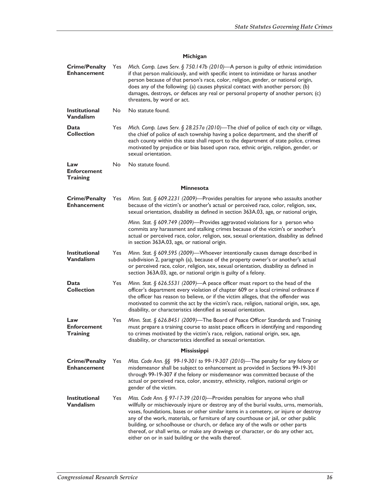## **Michigan**

| <b>Crime/Penalty</b><br><b>Enhancement</b>   | Yes | Mich. Comp. Laws Serv. § 750.147b (2010)-A person is guilty of ethnic intimidation<br>if that person maliciously, and with specific intent to intimidate or harass another<br>person because of that person's race, color, religion, gender, or national origin,<br>does any of the following: (a) causes physical contact with another person; (b)<br>damages, destroys, or defaces any real or personal property of another person; (c)<br>threatens, by word or act.                                                                                                         |
|----------------------------------------------|-----|---------------------------------------------------------------------------------------------------------------------------------------------------------------------------------------------------------------------------------------------------------------------------------------------------------------------------------------------------------------------------------------------------------------------------------------------------------------------------------------------------------------------------------------------------------------------------------|
| <b>Institutional</b><br><b>Vandalism</b>     | No  | No statute found.                                                                                                                                                                                                                                                                                                                                                                                                                                                                                                                                                               |
| Data<br><b>Collection</b>                    | Yes | Mich. Comp. Laws Serv. § 28.257a (2010)-The chief of police of each city or village,<br>the chief of police of each township having a police department, and the sheriff of<br>each county within this state shall report to the department of state police, crimes<br>motivated by prejudice or bias based upon race, ethnic origin, religion, gender, or<br>sexual orientation.                                                                                                                                                                                               |
| Law<br><b>Enforcement</b><br><b>Training</b> | No  | No statute found.                                                                                                                                                                                                                                                                                                                                                                                                                                                                                                                                                               |
|                                              |     | Minnesota                                                                                                                                                                                                                                                                                                                                                                                                                                                                                                                                                                       |
| <b>Crime/Penalty</b><br><b>Enhancement</b>   | Yes | Minn. Stat. § 609.2231 (2009)-Provides penalties for anyone who assaults another<br>because of the victim's or another's actual or perceived race, color, religion, sex,<br>sexual orientation, disability as defined in section 363A.03, age, or national origin,                                                                                                                                                                                                                                                                                                              |
|                                              |     | Minn. Stat. § 609.749 (2009)-Provides aggravated violations for a person who<br>commits any harassment and stalking crimes because of the victim's or another's<br>actual or perceived race, color, religion, sex, sexual orientation, disability as defined<br>in section 363A.03, age, or national origin.                                                                                                                                                                                                                                                                    |
| <b>Institutional</b><br><b>Vandalism</b>     | Yes | Minn. Stat. § 609.595 (2009)-Whoever intentionally causes damage described in<br>subdivision 2, paragraph (a), because of the property owner's or another's actual<br>or perceived race, color, religion, sex, sexual orientation, disability as defined in<br>section 363A.03, age, or national origin is guilty of a felony.                                                                                                                                                                                                                                                  |
| Data<br><b>Collection</b>                    | Yes | Minn. Stat. § 626.5531 (2009)—A peace officer must report to the head of the<br>officer's department every violation of chapter 609 or a local criminal ordinance if<br>the officer has reason to believe, or if the victim alleges, that the offender was<br>motivated to commit the act by the victim's race, religion, national origin, sex, age,<br>disability, or characteristics identified as sexual orientation.                                                                                                                                                        |
| Law<br><b>Enforcement</b><br><b>Training</b> | Yes | Minn. Stat. § 626.8451 (2009)-The Board of Peace Officer Standards and Training<br>must prepare a training course to assist peace officers in identifying and responding<br>to crimes motivated by the victim's race, religion, national origin, sex, age,<br>disability, or characteristics identified as sexual orientation.                                                                                                                                                                                                                                                  |
|                                              |     | Mississippi                                                                                                                                                                                                                                                                                                                                                                                                                                                                                                                                                                     |
| <b>Crime/Penalty</b><br><b>Enhancement</b>   | Yes | Miss. Code Ann. §§ 99-19-301 to 99-19-307 (2010)-The penalty for any felony or<br>misdemeanor shall be subject to enhancement as provided in Sections 99-19-301<br>through 99-19-307 if the felony or misdemeanor was committed because of the<br>actual or perceived race, color, ancestry, ethnicity, religion, national origin or<br>gender of the victim.                                                                                                                                                                                                                   |
| <b>Institutional</b><br>Vandalism            | Yes | Miss. Code Ann. § 97-17-39 (2010)—Provides penalties for anyone who shall<br>willfully or mischievously injure or destroy any of the burial vaults, urns, memorials,<br>vases, foundations, bases or other similar items in a cemetery, or injure or destroy<br>any of the work, materials, or furniture of any courthouse or jail, or other public<br>building, or schoolhouse or church, or deface any of the walls or other parts<br>thereof, or shall write, or make any drawings or character, or do any other act,<br>either on or in said building or the walls thereof. |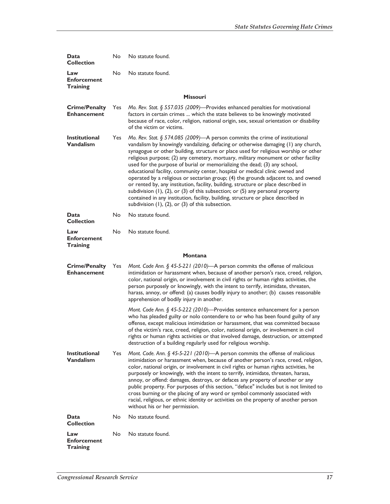| Data<br><b>Collection</b>                    | No              | No statute found.                                                                                                                                                                                                                                                                                                                                                                                                                                                                                                                                                                                                                                                                                                                                                                                                                                                                                                                   |  |  |
|----------------------------------------------|-----------------|-------------------------------------------------------------------------------------------------------------------------------------------------------------------------------------------------------------------------------------------------------------------------------------------------------------------------------------------------------------------------------------------------------------------------------------------------------------------------------------------------------------------------------------------------------------------------------------------------------------------------------------------------------------------------------------------------------------------------------------------------------------------------------------------------------------------------------------------------------------------------------------------------------------------------------------|--|--|
| Law<br><b>Enforcement</b><br><b>Training</b> | No              | No statute found.                                                                                                                                                                                                                                                                                                                                                                                                                                                                                                                                                                                                                                                                                                                                                                                                                                                                                                                   |  |  |
|                                              | <b>Missouri</b> |                                                                                                                                                                                                                                                                                                                                                                                                                                                                                                                                                                                                                                                                                                                                                                                                                                                                                                                                     |  |  |
| <b>Crime/Penalty</b><br><b>Enhancement</b>   | Yes             | Mo. Rev. Stat. § 557.035 (2009)-Provides enhanced penalties for motivational<br>factors in certain crimes  which the state believes to be knowingly motivated<br>because of race, color, religion, national origin, sex, sexual orientation or disability<br>of the victim or victims.                                                                                                                                                                                                                                                                                                                                                                                                                                                                                                                                                                                                                                              |  |  |
| <b>Institutional</b><br>Vandalism            | Yes             | Mo. Rev. Stat. § 574.085 (2009)-A person commits the crime of institutional<br>vandalism by knowingly vandalizing, defacing or otherwise damaging (1) any church,<br>synagogue or other building, structure or place used for religious worship or other<br>religious purpose; (2) any cemetery, mortuary, military monument or other facility<br>used for the purpose of burial or memorializing the dead; (3) any school,<br>educational facility, community center, hospital or medical clinic owned and<br>operated by a religious or sectarian group; (4) the grounds adjacent to, and owned<br>or rented by, any institution, facility, building, structure or place described in<br>subdivision $(1)$ , $(2)$ , or $(3)$ of this subsection; or $(5)$ any personal property<br>contained in any institution, facility, building, structure or place described in<br>subdivision $(1)$ , $(2)$ , or $(3)$ of this subsection. |  |  |
| <b>Data</b><br><b>Collection</b>             | No              | No statute found.                                                                                                                                                                                                                                                                                                                                                                                                                                                                                                                                                                                                                                                                                                                                                                                                                                                                                                                   |  |  |
| Law<br><b>Enforcement</b><br><b>Training</b> | No              | No statute found.                                                                                                                                                                                                                                                                                                                                                                                                                                                                                                                                                                                                                                                                                                                                                                                                                                                                                                                   |  |  |
|                                              |                 | Montana                                                                                                                                                                                                                                                                                                                                                                                                                                                                                                                                                                                                                                                                                                                                                                                                                                                                                                                             |  |  |
| <b>Crime/Penalty</b><br><b>Enhancement</b>   | Yes             | Mont. Code Ann. § 45-5-221 (2010)-A person commits the offense of malicious<br>intimidation or harassment when, because of another person's race, creed, religion,<br>color, national origin, or involvement in civil rights or human rights activities, the<br>person purposely or knowingly, with the intent to terrify, intimidate, threaten,<br>harass, annoy, or offend: (a) causes bodily injury to another; (b) causes reasonable<br>apprehension of bodily injury in another.                                                                                                                                                                                                                                                                                                                                                                                                                                               |  |  |
|                                              |                 | Mont. Code Ann. § 45-5-222 (2010)—Provides sentence enhancement for a person<br>who has pleaded guilty or nolo contendere to or who has been found guilty of any<br>offense, except malicious intimidation or harassment, that was committed because<br>of the victim's race, creed, religion, color, national origin, or involvement in civil<br>rights or human rights activities or that involved damage, destruction, or attempted<br>destruction of a building regularly used for religious worship.                                                                                                                                                                                                                                                                                                                                                                                                                           |  |  |
| <b>Institutional</b><br><b>Vandalism</b>     | Yes             | Mont. Code. Ann. $\S$ 45-5-221 (2010)—A person commits the offense of malicious<br>intimidation or harassment when, because of another person's race, creed, religion,<br>color, national origin, or involvement in civil rights or human rights activities, he<br>purposely or knowingly, with the intent to terrify, intimidate, threaten, harass,<br>annoy, or offend: damages, destroys, or defaces any property of another or any<br>public property. For purposes of this section, "deface" includes but is not limited to<br>cross burning or the placing of any word or symbol commonly associated with<br>racial, religious, or ethnic identity or activities on the property of another person<br>without his or her permission.                                                                                                                                                                                          |  |  |
| Data<br><b>Collection</b>                    | No              | No statute found.                                                                                                                                                                                                                                                                                                                                                                                                                                                                                                                                                                                                                                                                                                                                                                                                                                                                                                                   |  |  |
| Law<br><b>Enforcement</b><br><b>Training</b> | No              | No statute found.                                                                                                                                                                                                                                                                                                                                                                                                                                                                                                                                                                                                                                                                                                                                                                                                                                                                                                                   |  |  |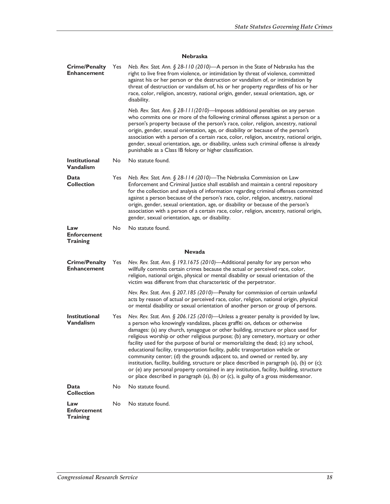#### **Nebraska**

| <b>Crime/Penalty</b><br><b>Enhancement</b>   | Yes | Neb. Rev. Stat. Ann. § 28-110 (2010)—A person in the State of Nebraska has the<br>right to live free from violence, or intimidation by threat of violence, committed<br>against his or her person or the destruction or vandalism of, or intimidation by<br>threat of destruction or vandalism of, his or her property regardless of his or her<br>race, color, religion, ancestry, national origin, gender, sexual orientation, age, or<br>disability.                                                                                                                                                                                                                                                                                                                                                                                                                             |
|----------------------------------------------|-----|-------------------------------------------------------------------------------------------------------------------------------------------------------------------------------------------------------------------------------------------------------------------------------------------------------------------------------------------------------------------------------------------------------------------------------------------------------------------------------------------------------------------------------------------------------------------------------------------------------------------------------------------------------------------------------------------------------------------------------------------------------------------------------------------------------------------------------------------------------------------------------------|
|                                              |     | Neb. Rev. Stat. Ann. § 28-111(2010)—Imposes additional penalties on any person<br>who commits one or more of the following criminal offenses against a person or a<br>person's property because of the person's race, color, religion, ancestry, national<br>origin, gender, sexual orientation, age, or disability or because of the person's<br>association with a person of a certain race, color, religion, ancestry, national origin,<br>gender, sexual orientation, age, or disability, unless such criminal offense is already<br>punishable as a Class IB felony or higher classification.                                                                                                                                                                                                                                                                                  |
| <b>Institutional</b><br><b>Vandalism</b>     | No  | No statute found.                                                                                                                                                                                                                                                                                                                                                                                                                                                                                                                                                                                                                                                                                                                                                                                                                                                                   |
| Data<br><b>Collection</b>                    | Yes | Neb. Rev. Stat. Ann. § 28-114 (2010)-The Nebraska Commission on Law<br>Enforcement and Criminal Justice shall establish and maintain a central repository<br>for the collection and analysis of information regarding criminal offenses committed<br>against a person because of the person's race, color, religion, ancestry, national<br>origin, gender, sexual orientation, age, or disability or because of the person's<br>association with a person of a certain race, color, religion, ancestry, national origin,<br>gender, sexual orientation, age, or disability.                                                                                                                                                                                                                                                                                                         |
| Law<br><b>Enforcement</b><br><b>Training</b> | No  | No statute found.                                                                                                                                                                                                                                                                                                                                                                                                                                                                                                                                                                                                                                                                                                                                                                                                                                                                   |
|                                              |     | <b>Nevada</b>                                                                                                                                                                                                                                                                                                                                                                                                                                                                                                                                                                                                                                                                                                                                                                                                                                                                       |
| <b>Crime/Penalty</b><br><b>Enhancement</b>   | Yes | Nev. Rev. Stat. Ann. § 193.1675 (2010)-Additional penalty for any person who<br>willfully commits certain crimes because the actual or perceived race, color,<br>religion, national origin, physical or mental disability or sexual orientation of the<br>victim was different from that characteristic of the perpetrator.                                                                                                                                                                                                                                                                                                                                                                                                                                                                                                                                                         |
|                                              |     | Nev. Rev. Stat. Ann. § 207.185 (2010)—Penalty for commission of certain unlawful<br>acts by reason of actual or perceived race, color, religion, national origin, physical<br>or mental disability or sexual orientation of another person or group of persons.                                                                                                                                                                                                                                                                                                                                                                                                                                                                                                                                                                                                                     |
| <b>Institutional</b><br>Vandalism            | Yes | Nev. Rev. Stat. Ann. § 206.125 (2010)—Unless a greater penalty is provided by law,<br>a person who knowingly vandalizes, places graffiti on, defaces or otherwise<br>damages: (a) any church, synagogue or other building, structure or place used for<br>religious worship or other religious purpose; (b) any cemetery, mortuary or other<br>facility used for the purpose of burial or memorializing the dead; (c) any school,<br>educational facility, transportation facility, public transportation vehicle or<br>community center; (d) the grounds adjacent to, and owned or rented by, any<br>institution, facility, building, structure or place described in paragraph (a), (b) or (c);<br>or (e) any personal property contained in any institution, facility, building, structure<br>or place described in paragraph (a), (b) or (c), is guilty of a gross misdemeanor. |
| Data<br><b>Collection</b>                    | No  | No statute found.                                                                                                                                                                                                                                                                                                                                                                                                                                                                                                                                                                                                                                                                                                                                                                                                                                                                   |
| Law<br><b>Enforcement</b><br><b>Training</b> | No  | No statute found.                                                                                                                                                                                                                                                                                                                                                                                                                                                                                                                                                                                                                                                                                                                                                                                                                                                                   |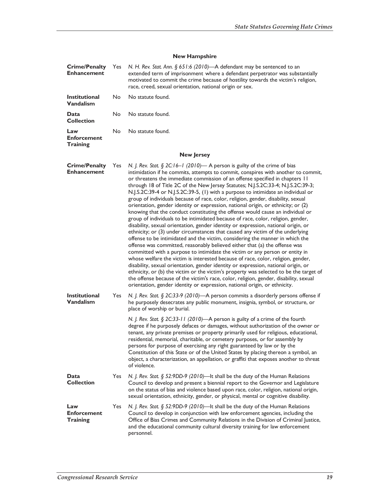### **New Hampshire**

| <b>Crime/Penalty</b><br><b>Enhancement</b>   | Yes               | N. H. Rev. Stat. Ann. $\S 651:6$ (2010)—A defendant may be sentenced to an<br>extended term of imprisonment where a defendant perpetrator was substantially<br>motivated to commit the crime because of hostility towards the victim's religion,<br>race, creed, sexual orientation, national origin or sex.                                                                                                                                                                                                                                                                                                                                                                                                                                                                                                                                                                                                                                                                                                                                                                                                                                                                                                                                                                                                                                                                                                                                                                                                                                                                                                                               |  |
|----------------------------------------------|-------------------|--------------------------------------------------------------------------------------------------------------------------------------------------------------------------------------------------------------------------------------------------------------------------------------------------------------------------------------------------------------------------------------------------------------------------------------------------------------------------------------------------------------------------------------------------------------------------------------------------------------------------------------------------------------------------------------------------------------------------------------------------------------------------------------------------------------------------------------------------------------------------------------------------------------------------------------------------------------------------------------------------------------------------------------------------------------------------------------------------------------------------------------------------------------------------------------------------------------------------------------------------------------------------------------------------------------------------------------------------------------------------------------------------------------------------------------------------------------------------------------------------------------------------------------------------------------------------------------------------------------------------------------------|--|
| <b>Institutional</b><br>Vandalism            | No.               | No statute found.                                                                                                                                                                                                                                                                                                                                                                                                                                                                                                                                                                                                                                                                                                                                                                                                                                                                                                                                                                                                                                                                                                                                                                                                                                                                                                                                                                                                                                                                                                                                                                                                                          |  |
| Data<br><b>Collection</b>                    | No.               | No statute found.                                                                                                                                                                                                                                                                                                                                                                                                                                                                                                                                                                                                                                                                                                                                                                                                                                                                                                                                                                                                                                                                                                                                                                                                                                                                                                                                                                                                                                                                                                                                                                                                                          |  |
| Law<br><b>Enforcement</b><br><b>Training</b> | No.               | No statute found.                                                                                                                                                                                                                                                                                                                                                                                                                                                                                                                                                                                                                                                                                                                                                                                                                                                                                                                                                                                                                                                                                                                                                                                                                                                                                                                                                                                                                                                                                                                                                                                                                          |  |
|                                              | <b>New Jersey</b> |                                                                                                                                                                                                                                                                                                                                                                                                                                                                                                                                                                                                                                                                                                                                                                                                                                                                                                                                                                                                                                                                                                                                                                                                                                                                                                                                                                                                                                                                                                                                                                                                                                            |  |
| <b>Crime/Penalty</b><br><b>Enhancement</b>   | Yes               | N. J. Rev. Stat. § 2C:16-1 (2010)— A person is guilty of the crime of bias<br>intimidation if he commits, attempts to commit, conspires with another to commit,<br>or threatens the immediate commission of an offense specified in chapters 11<br>through 18 of Title 2C of the New Jersey Statutes; N.J.S.2C:33-4; N.J.S.2C:39-3;<br>N.J.S.2C:39-4 or N.J.S.2C:39-5, (1) with a purpose to intimidate an individual or<br>group of individuals because of race, color, religion, gender, disability, sexual<br>orientation, gender identity or expression, national origin, or ethnicity; or (2)<br>knowing that the conduct constituting the offense would cause an individual or<br>group of individuals to be intimidated because of race, color, religion, gender,<br>disability, sexual orientation, gender identity or expression, national origin, or<br>ethnicity; or (3) under circumstances that caused any victim of the underlying<br>offense to be intimidated and the victim, considering the manner in which the<br>offense was committed, reasonably believed either that (a) the offense was<br>committed with a purpose to intimidate the victim or any person or entity in<br>whose welfare the victim is interested because of race, color, religion, gender,<br>disability, sexual orientation, gender identity or expression, national origin, or<br>ethnicity, or (b) the victim or the victim's property was selected to be the target of<br>the offense because of the victim's race, color, religion, gender, disability, sexual<br>orientation, gender identity or expression, national origin, or ethnicity. |  |
| <b>Institutional</b><br>Vandalism            | Yes               | N. J. Rev. Stat. § 2C:33-9 (2010)—A person commits a disorderly persons offense if<br>he purposely desecrates any public monument, insignia, symbol, or structure, or<br>place of worship or burial.<br>N. J. Rev. Stat. § 2C:33-11 (2010)-A person is guilty of a crime of the fourth<br>degree if he purposely defaces or damages, without authorization of the owner or<br>tenant, any private premises or property primarily used for religious, educational,<br>residential, memorial, charitable, or cemetery purposes, or for assembly by<br>persons for purpose of exercising any right guaranteed by law or by the<br>Constitution of this State or of the United States by placing thereon a symbol, an<br>object, a characterization, an appellation, or graffiti that exposes another to threat<br>of violence.                                                                                                                                                                                                                                                                                                                                                                                                                                                                                                                                                                                                                                                                                                                                                                                                                |  |
| Data<br><b>Collection</b>                    | Yes               | N. J. Rev. Stat. § 52:9DD-9 (2010)—It shall be the duty of the Human Relations<br>Council to develop and present a biennial report to the Governor and Legislature<br>on the status of bias and violence based upon race, color, religion, national origin,<br>sexual orientation, ethnicity, gender, or physical, mental or cognitive disability.                                                                                                                                                                                                                                                                                                                                                                                                                                                                                                                                                                                                                                                                                                                                                                                                                                                                                                                                                                                                                                                                                                                                                                                                                                                                                         |  |
| Law<br><b>Enforcement</b><br><b>Training</b> | Yes               | N. J. Rev. Stat. § 52:9DD-9 (2010)—It shall be the duty of the Human Relations<br>Council to develop in conjunction with law enforcement agencies, including the<br>Office of Bias Crimes and Community Relations in the Division of Criminal Justice,<br>and the educational community cultural diversity training for law enforcement<br>personnel.                                                                                                                                                                                                                                                                                                                                                                                                                                                                                                                                                                                                                                                                                                                                                                                                                                                                                                                                                                                                                                                                                                                                                                                                                                                                                      |  |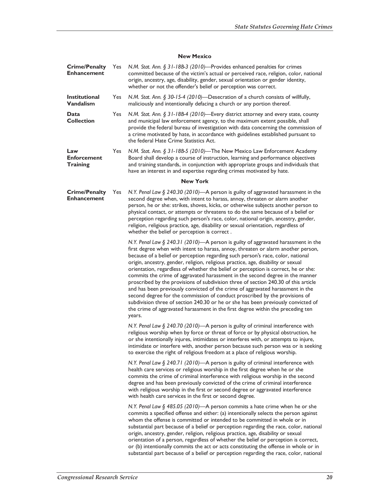### **New Mexico**

| <b>Crime/Penalty</b><br><b>Enhancement</b>   | Yes | N.M. Stat. Ann. § 31-18B-3 (2010)—Provides enhanced penalties for crimes<br>committed because of the victim's actual or perceived race, religion, color, national<br>origin, ancestry, age, disability, gender, sexual orientation or gender identity,<br>whether or not the offender's belief or perception was correct.                                                                                                                                                                                                                                                                                                                                                                                                                                                                                                                                                                                                                                       |  |
|----------------------------------------------|-----|-----------------------------------------------------------------------------------------------------------------------------------------------------------------------------------------------------------------------------------------------------------------------------------------------------------------------------------------------------------------------------------------------------------------------------------------------------------------------------------------------------------------------------------------------------------------------------------------------------------------------------------------------------------------------------------------------------------------------------------------------------------------------------------------------------------------------------------------------------------------------------------------------------------------------------------------------------------------|--|
| Institutional<br><b>Vandalism</b>            | Yes | N.M. Stat. Ann. § 30-15-4 (2010)—Desecration of a church consists of willfully,<br>maliciously and intentionally defacing a church or any portion thereof.                                                                                                                                                                                                                                                                                                                                                                                                                                                                                                                                                                                                                                                                                                                                                                                                      |  |
| Data<br><b>Collection</b>                    | Yes | N.M. Stat. Ann. $\S$ 31-18B-4 (2010)—Every district attorney and every state, county<br>and municipal law enforcement agency, to the maximum extent possible, shall<br>provide the federal bureau of investigation with data concerning the commission of<br>a crime motivated by hate, in accordance with guidelines established pursuant to<br>the federal Hate Crime Statistics Act.                                                                                                                                                                                                                                                                                                                                                                                                                                                                                                                                                                         |  |
| Law<br><b>Enforcement</b><br><b>Training</b> | Yes | N.M. Stat. Ann. § 31-18B-5 (2010)-The New Mexico Law Enforcement Academy<br>Board shall develop a course of instruction, learning and performance objectives<br>and training standards, in conjunction with appropriate groups and individuals that<br>have an interest in and expertise regarding crimes motivated by hate.                                                                                                                                                                                                                                                                                                                                                                                                                                                                                                                                                                                                                                    |  |
|                                              |     | <b>New York</b>                                                                                                                                                                                                                                                                                                                                                                                                                                                                                                                                                                                                                                                                                                                                                                                                                                                                                                                                                 |  |
| <b>Crime/Penalty</b><br><b>Enhancement</b>   | Yes | N.Y. Penal Law $\S$ 240.30 (2010)—A person is guilty of aggravated harassment in the<br>second degree when, with intent to harass, annoy, threaten or alarm another<br>person, he or she: strikes, shoves, kicks, or otherwise subjects another person to<br>physical contact, or attempts or threatens to do the same because of a belief or<br>perception regarding such person's race, color, national origin, ancestry, gender,<br>religion, religious practice, age, disability or sexual orientation, regardless of<br>whether the belief or perception is correct.                                                                                                                                                                                                                                                                                                                                                                                       |  |
|                                              |     | N.Y. Penal Law § 240.31 (2010)—A person is guilty of aggravated harassment in the<br>first degree when with intent to harass, annoy, threaten or alarm another person,<br>because of a belief or perception regarding such person's race, color, national<br>origin, ancestry, gender, religion, religious practice, age, disability or sexual<br>orientation, regardless of whether the belief or perception is correct, he or she:<br>commits the crime of aggravated harassment in the second degree in the manner<br>proscribed by the provisions of subdivision three of section 240.30 of this article<br>and has been previously convicted of the crime of aggravated harassment in the<br>second degree for the commission of conduct proscribed by the provisions of<br>subdivision three of section 240.30 or he or she has been previously convicted of<br>the crime of aggravated harassment in the first degree within the preceding ten<br>years. |  |
|                                              |     | N.Y. Penal Law § 240.70 (2010)-A person is guilty of criminal interference with<br>religious worship when by force or threat of force or by physical obstruction, he<br>or she intentionally injures, intimidates or interferes with, or attempts to injure,<br>intimidate or interfere with, another person because such person was or is seeking<br>to exercise the right of religious freedom at a place of religious worship.                                                                                                                                                                                                                                                                                                                                                                                                                                                                                                                               |  |
|                                              |     | N.Y. Penal Law § 240.71 (2010)-A person is guilty of criminal interference with<br>health care services or religious worship in the first degree when he or she<br>commits the crime of criminal interference with religious worship in the second<br>degree and has been previously convicted of the crime of criminal interference<br>with religious worship in the first or second degree or aggravated interference<br>with health care services in the first or second degree.                                                                                                                                                                                                                                                                                                                                                                                                                                                                             |  |
|                                              |     | N.Y. Penal Law $\S$ 485.05 (2010)—A person commits a hate crime when he or she<br>commits a specified offense and either: (a) intentionally selects the person against<br>whom the offense is committed or intended to be committed in whole or in<br>substantial part because of a belief or perception regarding the race, color, national<br>origin, ancestry, gender, religion, religious practice, age, disability or sexual<br>orientation of a person, regardless of whether the belief or perception is correct,<br>or (b) intentionally commits the act or acts constituting the offense in whole or in<br>substantial part because of a belief or perception regarding the race, color, national                                                                                                                                                                                                                                                      |  |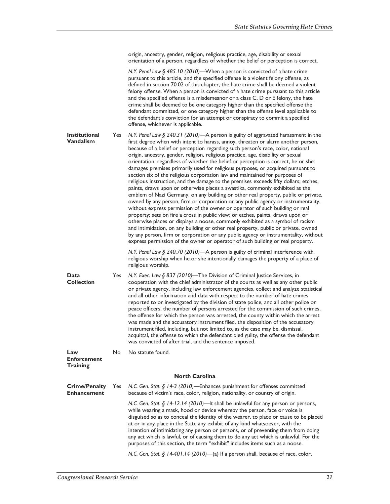origin, ancestry, gender, religion, religious practice, age, disability or sexual orientation of a person, regardless of whether the belief or perception is correct.

*N.Y. Penal Law § 485.10 (2010)*—When a person is convicted of a hate crime pursuant to this article, and the specified offense is a violent felony offense, as defined in section 70.02 of this chapter, the hate crime shall be deemed a violent felony offense. When a person is convicted of a hate crime pursuant to this article and the specified offense is a misdemeanor or a class C, D or E felony, the hate crime shall be deemed to be one category higher than the specified offense the defendant committed, or one category higher than the offense level applicable to the defendant's conviction for an attempt or conspiracy to commit a specified offense, whichever is applicable.

**Institutional Vandalism**  Yes *N.Y. Penal Law § 240.31 (2010)*—A person is guilty of aggravated harassment in the first degree when with intent to harass, annoy, threaten or alarm another person, because of a belief or perception regarding such person's race, color, national origin, ancestry, gender, religion, religious practice, age, disability or sexual orientation, regardless of whether the belief or perception is correct, he or she: damages premises primarily used for religious purposes, or acquired pursuant to section six of the religious corporation law and maintained for purposes of religious instruction, and the damage to the premises exceeds fifty dollars; etches, paints, draws upon or otherwise places a swastika, commonly exhibited as the emblem of Nazi Germany, on any building or other real property, public or private, owned by any person, firm or corporation or any public agency or instrumentality, without express permission of the owner or operator of such building or real property; sets on fire a cross in public view; or etches, paints, draws upon or otherwise places or displays a noose, commonly exhibited as a symbol of racism and intimidation, on any building or other real property, public or private, owned by any person, firm or corporation or any public agency or instrumentality, without express permission of the owner or operator of such building or real property.

> *N.Y. Penal Law § 240.70 (2010)*—A person is guilty of criminal interference with religious worship when he or she intentionally damages the property of a place of religious worship.

**Data Collection**  Yes *N.Y. Exec. Law § 837 (2010)*—The Division of Criminal Justice Services, in cooperation with the chief administrator of the courts as well as any other public or private agency, including law enforcement agencies, collect and analyze statistical and all other information and data with respect to the number of hate crimes reported to or investigated by the division of state police, and all other police or peace officers, the number of persons arrested for the commission of such crimes, the offense for which the person was arrested, the county within which the arrest was made and the accusatory instrument filed, the disposition of the accusatory instrument filed, including, but not limited to, as the case may be, dismissal, acquittal, the offense to which the defendant pled guilty, the offense the defendant was convicted of after trial, and the sentence imposed.

**Law Enforcement Training**  No No statute found.

#### **North Carolina**

**Crime/Penalty Enhancement**  Yes *N.C. Gen. Stat. § 14-3 (2010)*—Enhances punishment for offenses committed because of victim's race, color, religion, nationality, or country of origin. *N.C. Gen. Stat. § 14-12.14 (2010)*—It shall be unlawful for any person or persons, while wearing a mask, hood or device whereby the person, face or voice is disguised so as to conceal the identity of the wearer, to place or cause to be placed at or in any place in the State any exhibit of any kind whatsoever, with the intention of intimidating any person or persons, or of preventing them from doing any act which is lawful, or of causing them to do any act which is unlawful. For the purposes of this section, the term "exhibit" includes items such as a noose.

*N.C. Gen. Stat. § 14-401.14 (2010)*—(a) If a person shall, because of race, color,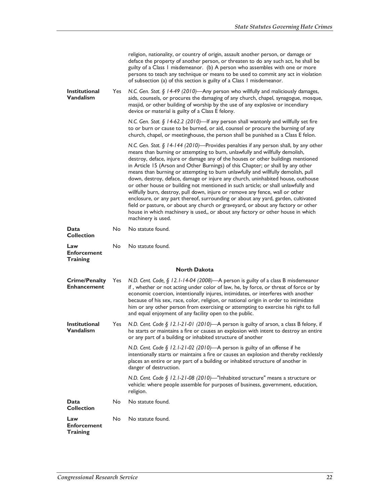|                                              |     | religion, nationality, or country of origin, assault another person, or damage or<br>deface the property of another person, or threaten to do any such act, he shall be<br>guilty of a Class I misdemeanor. (b) A person who assembles with one or more<br>persons to teach any technique or means to be used to commit any act in violation<br>of subsection (a) of this section is guilty of a Class I misdemeanor.                                                                                                                                                                                                                                                                                                                                                                                                                                                                                                                                                       |
|----------------------------------------------|-----|-----------------------------------------------------------------------------------------------------------------------------------------------------------------------------------------------------------------------------------------------------------------------------------------------------------------------------------------------------------------------------------------------------------------------------------------------------------------------------------------------------------------------------------------------------------------------------------------------------------------------------------------------------------------------------------------------------------------------------------------------------------------------------------------------------------------------------------------------------------------------------------------------------------------------------------------------------------------------------|
| <b>Institutional</b><br>Vandalism            | Yes | N.C. Gen. Stat. § 14-49 (2010)—Any person who willfully and maliciously damages,<br>aids, counsels, or procures the damaging of any church, chapel, synagogue, mosque,<br>masjid, or other building of worship by the use of any explosive or incendiary<br>device or material is guilty of a Class E felony.                                                                                                                                                                                                                                                                                                                                                                                                                                                                                                                                                                                                                                                               |
|                                              |     | N.C. Gen. Stat. § 14-62.2 (2010)—If any person shall wantonly and willfully set fire<br>to or burn or cause to be burned, or aid, counsel or procure the burning of any<br>church, chapel, or meetinghouse, the person shall be punished as a Class E felon.                                                                                                                                                                                                                                                                                                                                                                                                                                                                                                                                                                                                                                                                                                                |
|                                              |     | N.C. Gen. Stat. § 14-144 (2010)—Provides penalties if any person shall, by any other<br>means than burning or attempting to burn, unlawfully and willfully demolish,<br>destroy, deface, injure or damage any of the houses or other buildings mentioned<br>in Article 15 (Arson and Other Burnings) of this Chapter; or shall by any other<br>means than burning or attempting to burn unlawfully and willfully demolish, pull<br>down, destroy, deface, damage or injure any church, uninhabited house, outhouse<br>or other house or building not mentioned in such article; or shall unlawfully and<br>willfully burn, destroy, pull down, injure or remove any fence, wall or other<br>enclosure, or any part thereof, surrounding or about any yard, garden, cultivated<br>field or pasture, or about any church or graveyard, or about any factory or other<br>house in which machinery is used,, or about any factory or other house in which<br>machinery is used. |
| Data<br><b>Collection</b>                    | No. | No statute found.                                                                                                                                                                                                                                                                                                                                                                                                                                                                                                                                                                                                                                                                                                                                                                                                                                                                                                                                                           |
| Law<br><b>Enforcement</b><br><b>Training</b> | No. | No statute found.                                                                                                                                                                                                                                                                                                                                                                                                                                                                                                                                                                                                                                                                                                                                                                                                                                                                                                                                                           |
|                                              |     | <b>North Dakota</b>                                                                                                                                                                                                                                                                                                                                                                                                                                                                                                                                                                                                                                                                                                                                                                                                                                                                                                                                                         |
| <b>Crime/Penalty</b><br><b>Enhancement</b>   | Yes | N.D. Cent. Code, § 12.1-14-04 (2008)—A person is guilty of a class B misdemeanor<br>if, whether or not acting under color of law, he, by force, or threat of force or by<br>economic coercion, intentionally injures, intimidates, or interferes with another<br>because of his sex, race, color, religion, or national origin in order to intimidate<br>him or any other person from exercising or attempting to exercise his right to full<br>and equal enjoyment of any facility open to the public.                                                                                                                                                                                                                                                                                                                                                                                                                                                                     |
| <b>Institutional</b><br>Vandalism            | Yes | N.D. Cent. Code § 12.1-21-01 (2010)—A person is guilty of arson, a class B felony, if<br>he starts or maintains a fire or causes an explosion with intent to destroy an entire<br>or any part of a building or inhabited structure of another                                                                                                                                                                                                                                                                                                                                                                                                                                                                                                                                                                                                                                                                                                                               |
|                                              |     | N.D. Cent. Code $\S$ 12.1-21-02 (2010)—A person is guilty of an offense if he<br>intentionally starts or maintains a fire or causes an explosion and thereby recklessly<br>places an entire or any part of a building or inhabited structure of another in<br>danger of destruction.                                                                                                                                                                                                                                                                                                                                                                                                                                                                                                                                                                                                                                                                                        |
|                                              |     | N.D. Cent. Code § 12.1-21-08 (2010)-"Inhabited structure" means a structure or<br>vehicle: where people assemble for purposes of business, government, education,<br>religion.                                                                                                                                                                                                                                                                                                                                                                                                                                                                                                                                                                                                                                                                                                                                                                                              |
| Data<br><b>Collection</b>                    | No  | No statute found.                                                                                                                                                                                                                                                                                                                                                                                                                                                                                                                                                                                                                                                                                                                                                                                                                                                                                                                                                           |
| Law<br><b>Enforcement</b><br><b>Training</b> | No. | No statute found.                                                                                                                                                                                                                                                                                                                                                                                                                                                                                                                                                                                                                                                                                                                                                                                                                                                                                                                                                           |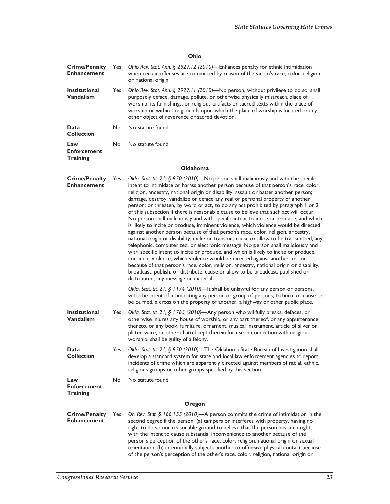### **Ohio**

| <b>Crime/Penalty</b><br><b>Enhancement</b>   | Yes | Ohio Rev. Stat. Ann. § 2927.12 (2010)-Enhances penalty for ethnic intimidation<br>when certain offenses are committed by reason of the victim's race, color, religion,<br>or national origin.                                                                                                                                                                                                                                                                                                                                                                                                                                                                                                                                                                                                                                                                                                                                                                                                                                                                                                                                                                                                                                                                                                                                                                                      |  |
|----------------------------------------------|-----|------------------------------------------------------------------------------------------------------------------------------------------------------------------------------------------------------------------------------------------------------------------------------------------------------------------------------------------------------------------------------------------------------------------------------------------------------------------------------------------------------------------------------------------------------------------------------------------------------------------------------------------------------------------------------------------------------------------------------------------------------------------------------------------------------------------------------------------------------------------------------------------------------------------------------------------------------------------------------------------------------------------------------------------------------------------------------------------------------------------------------------------------------------------------------------------------------------------------------------------------------------------------------------------------------------------------------------------------------------------------------------|--|
| <b>Institutional</b><br>Vandalism            | Yes | Ohio Rev. Stat. Ann. § 2927.11 (2010)-No person, without privilege to do so, shall<br>purposely deface, damage, pollute, or otherwise physically mistreat a place of<br>worship, its furnishings, or religious artifacts or sacred texts within the place of<br>worship or within the grounds upon which the place of worship is located or any<br>other object of reverence or sacred devotion.                                                                                                                                                                                                                                                                                                                                                                                                                                                                                                                                                                                                                                                                                                                                                                                                                                                                                                                                                                                   |  |
| Data<br><b>Collection</b>                    | No  | No statute found.                                                                                                                                                                                                                                                                                                                                                                                                                                                                                                                                                                                                                                                                                                                                                                                                                                                                                                                                                                                                                                                                                                                                                                                                                                                                                                                                                                  |  |
| Law<br><b>Enforcement</b><br><b>Training</b> | No  | No statute found.                                                                                                                                                                                                                                                                                                                                                                                                                                                                                                                                                                                                                                                                                                                                                                                                                                                                                                                                                                                                                                                                                                                                                                                                                                                                                                                                                                  |  |
|                                              |     | <b>Oklahoma</b>                                                                                                                                                                                                                                                                                                                                                                                                                                                                                                                                                                                                                                                                                                                                                                                                                                                                                                                                                                                                                                                                                                                                                                                                                                                                                                                                                                    |  |
| <b>Crime/Penalty</b><br><b>Enhancement</b>   | Yes | Okla. Stat. tit. 21, $\S$ 850 (2010)—No person shall maliciously and with the specific<br>intent to intimidate or harass another person because of that person's race, color,<br>religion, ancestry, national origin or disability: assault or batter another person;<br>damage, destroy, vandalize or deface any real or personal property of another<br>person; or threaten, by word or act, to do any act prohibited by paragraph I or 2<br>of this subsection if there is reasonable cause to believe that such act will occur.<br>No person shall maliciously and with specific intent to incite or produce, and which<br>is likely to incite or produce, imminent violence, which violence would be directed<br>against another person because of that person's race, color, religion, ancestry,<br>national origin or disability, make or transmit, cause or allow to be transmitted, any<br>telephonic, computerized, or electronic message. No person shall maliciously and<br>with specific intent to incite or produce, and which is likely to incite or produce,<br>imminent violence, which violence would be directed against another person<br>because of that person's race, color, religion, ancestry, national origin or disability,<br>broadcast, publish, or distribute, cause or allow to be broadcast, published or<br>distributed, any message or material. |  |
|                                              |     | Okla. Stat. tit. 21, $\S$ 1174 (2010)—It shall be unlawful for any person or persons,<br>with the intent of intimidating any person or group of persons, to burn, or cause to<br>be burned, a cross on the property of another, a highway or other public place.                                                                                                                                                                                                                                                                                                                                                                                                                                                                                                                                                                                                                                                                                                                                                                                                                                                                                                                                                                                                                                                                                                                   |  |
| <b>Institutional</b><br><b>Vandalism</b>     | Yes | Okla. Stat. tit. 21, § 1765 (2010)-Any person who willfully breaks, defaces, or<br>otherwise injures any house of worship, or any part thereof, or any appurtenance<br>thereto, or any book, furniture, ornament, musical instrument, article of silver or<br>plated ware, or other chattel kept therein for use in connection with religious<br>worship, shall be guilty of a felony.                                                                                                                                                                                                                                                                                                                                                                                                                                                                                                                                                                                                                                                                                                                                                                                                                                                                                                                                                                                             |  |
| Data<br><b>Collection</b>                    | Yes | Okla. Stat. tit. 21, § 850 (2010)-The Oklahoma State Bureau of Investigation shall<br>develop a standard system for state and local law enforcement agencies to report<br>incidents of crime which are apparently directed against members of racial, ethnic,<br>religious groups or other groups specified by this section.                                                                                                                                                                                                                                                                                                                                                                                                                                                                                                                                                                                                                                                                                                                                                                                                                                                                                                                                                                                                                                                       |  |
| Law<br><b>Enforcement</b><br><b>Training</b> | No  | No statute found.                                                                                                                                                                                                                                                                                                                                                                                                                                                                                                                                                                                                                                                                                                                                                                                                                                                                                                                                                                                                                                                                                                                                                                                                                                                                                                                                                                  |  |
|                                              |     | Oregon                                                                                                                                                                                                                                                                                                                                                                                                                                                                                                                                                                                                                                                                                                                                                                                                                                                                                                                                                                                                                                                                                                                                                                                                                                                                                                                                                                             |  |
| <b>Crime/Penalty</b><br><b>Enhancement</b>   | Yes | Or. Rev. Stat. § 166.155 (2010)—A person commits the crime of intimidation in the<br>second degree if the person: (a) tampers or interferes with property, having no<br>right to do so nor reasonable ground to believe that the person has such right,<br>with the intent to cause substantial inconvenience to another because of the<br>person's perception of the other's race, color, religion, national origin or sexual<br>orientation; (b) intentionally subjects another to offensive physical contact because<br>of the person's perception of the other's race, color, religion, national origin or                                                                                                                                                                                                                                                                                                                                                                                                                                                                                                                                                                                                                                                                                                                                                                     |  |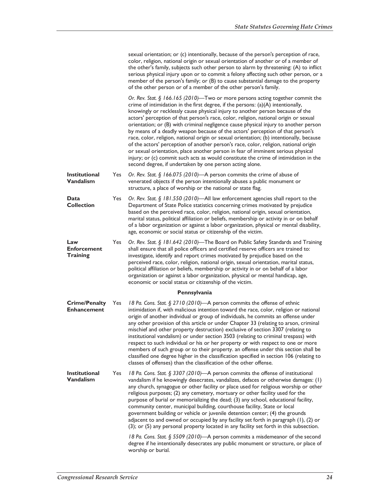|                                              |     | sexual orientation; or (c) intentionally, because of the person's perception of race,<br>color, religion, national origin or sexual orientation of another or of a member of<br>the other's family, subjects such other person to alarm by threatening: (A) to inflict<br>serious physical injury upon or to commit a felony affecting such other person, or a<br>member of the person's family; or (B) to cause substantial damage to the property<br>of the other person or of a member of the other person's family.                                                                                                                                                                                                                                                                                                                                                                                                                            |
|----------------------------------------------|-----|----------------------------------------------------------------------------------------------------------------------------------------------------------------------------------------------------------------------------------------------------------------------------------------------------------------------------------------------------------------------------------------------------------------------------------------------------------------------------------------------------------------------------------------------------------------------------------------------------------------------------------------------------------------------------------------------------------------------------------------------------------------------------------------------------------------------------------------------------------------------------------------------------------------------------------------------------|
|                                              |     | Or. Rev. Stat. § 166.165 (2010)-Two or more persons acting together commit the<br>crime of intimidation in the first degree, if the persons: (a)(A) intentionally,<br>knowingly or recklessly cause physical injury to another person because of the<br>actors' perception of that person's race, color, religion, national origin or sexual<br>orientation; or (B) with criminal negligence cause physical injury to another person<br>by means of a deadly weapon because of the actors' perception of that person's<br>race, color, religion, national origin or sexual orientation; (b) intentionally, because<br>of the actors' perception of another person's race, color, religion, national origin<br>or sexual orientation, place another person in fear of imminent serious physical<br>injury; or (c) commit such acts as would constitute the crime of intimidation in the<br>second degree, if undertaken by one person acting alone. |
| <b>Institutional</b><br><b>Vandalism</b>     | Yes | Or. Rev. Stat. § $166.075$ (2010)—A person commits the crime of abuse of<br>venerated objects if the person intentionally abuses a public monument or<br>structure, a place of worship or the national or state flag.                                                                                                                                                                                                                                                                                                                                                                                                                                                                                                                                                                                                                                                                                                                              |
| Data<br><b>Collection</b>                    | Yes | Or. Rev. Stat. § 181.550 (2010)—All law enforcement agencies shall report to the<br>Department of State Police statistics concerning crimes motivated by prejudice<br>based on the perceived race, color, religion, national origin, sexual orientation,<br>marital status, political affiliation or beliefs, membership or activity in or on behalf<br>of a labor organization or against a labor organization, physical or mental disability,<br>age, economic or social status or citizenship of the victim.                                                                                                                                                                                                                                                                                                                                                                                                                                    |
| Law<br><b>Enforcement</b><br><b>Training</b> | Yes | Or. Rev. Stat. § 181.642 (2010)-The Board on Public Safety Standards and Training<br>shall ensure that all police officers and certified reserve officers are trained to:<br>investigate, identify and report crimes motivated by prejudice based on the<br>perceived race, color, religion, national origin, sexual orientation, marital status,<br>political affiliation or beliefs, membership or activity in or on behalf of a labor<br>organization or against a labor organization, physical or mental handicap, age,<br>economic or social status or citizenship of the victim.                                                                                                                                                                                                                                                                                                                                                             |
|                                              |     | Pennsylvania                                                                                                                                                                                                                                                                                                                                                                                                                                                                                                                                                                                                                                                                                                                                                                                                                                                                                                                                       |
| <b>Crime/Penalty</b><br><b>Enhancement</b>   | Yes | 18 Pa. Cons. Stat. § 2710 (2010)-A person commits the offense of ethnic                                                                                                                                                                                                                                                                                                                                                                                                                                                                                                                                                                                                                                                                                                                                                                                                                                                                            |
|                                              |     | intimidation if, with malicious intention toward the race, color, religion or national<br>origin of another individual or group of individuals, he commits an offense under<br>any other provision of this article or under Chapter 33 (relating to arson, criminal<br>mischief and other property destruction) exclusive of section 3307 (relating to<br>institutional vandalism) or under section 3503 (relating to criminal trespass) with<br>respect to such individual or his or her property or with respect to one or more<br>members of such group or to their property. an offense under this section shall be<br>classified one degree higher in the classification specified in section 106 (relating to<br>classes of offenses) than the classification of the other offense.                                                                                                                                                          |
| <b>Institutional</b><br>Vandalism            | Yes | 18 Pa. Cons. Stat. § 3307 (2010)—A person commits the offense of institutional<br>vandalism if he knowingly desecrates, vandalizes, defaces or otherwise damages: (1)<br>any church, synagogue or other facility or place used for religious worship or other<br>religious purposes; (2) any cemetery, mortuary or other facility used for the<br>purpose of burial or memorializing the dead; (3) any school, educational facility,<br>community center, municipal building, courthouse facility, State or local<br>government building or vehicle or juvenile detention center; (4) the grounds<br>adjacent to and owned or occupied by any facility set forth in paragraph (1), (2) or<br>(3); or (5) any personal property located in any facility set forth in this subsection.                                                                                                                                                               |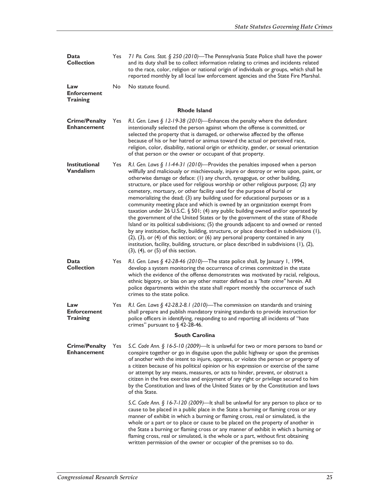| Data<br><b>Collection</b>                    | Yes | 71 Pa. Cons. Stat. § 250 (2010)—The Pennsylvania State Police shall have the power<br>and its duty shall be to collect information relating to crimes and incidents related<br>to the race, color, religion or national origin of individuals or groups, which shall be<br>reported monthly by all local law enforcement agencies and the State Fire Marshal.                                                                                                                                                                                                                                                                                                                                                                                                                                                                                                                                                                                                                                                                                                                                                                                                                                 |  |  |  |
|----------------------------------------------|-----|-----------------------------------------------------------------------------------------------------------------------------------------------------------------------------------------------------------------------------------------------------------------------------------------------------------------------------------------------------------------------------------------------------------------------------------------------------------------------------------------------------------------------------------------------------------------------------------------------------------------------------------------------------------------------------------------------------------------------------------------------------------------------------------------------------------------------------------------------------------------------------------------------------------------------------------------------------------------------------------------------------------------------------------------------------------------------------------------------------------------------------------------------------------------------------------------------|--|--|--|
| Law<br><b>Enforcement</b><br><b>Training</b> | No. | No statute found.                                                                                                                                                                                                                                                                                                                                                                                                                                                                                                                                                                                                                                                                                                                                                                                                                                                                                                                                                                                                                                                                                                                                                                             |  |  |  |
|                                              |     | <b>Rhode Island</b>                                                                                                                                                                                                                                                                                                                                                                                                                                                                                                                                                                                                                                                                                                                                                                                                                                                                                                                                                                                                                                                                                                                                                                           |  |  |  |
| <b>Crime/Penalty</b><br><b>Enhancement</b>   | Yes | R.I. Gen. Laws § 12-19-38 (2010)—Enhances the penalty where the defendant<br>intentionally selected the person against whom the offense is committed, or<br>selected the property that is damaged, or otherwise affected by the offense<br>because of his or her hatred or animus toward the actual or perceived race,<br>religion, color, disability, national origin or ethnicity, gender, or sexual orientation<br>of that person or the owner or occupant of that property.                                                                                                                                                                                                                                                                                                                                                                                                                                                                                                                                                                                                                                                                                                               |  |  |  |
| Institutional<br>Vandalism                   | Yes | R.I. Gen. Laws $\S$ 11-44-31 (2010)—Provides the penalties imposed when a person<br>willfully and maliciously or mischievously, injure or destroy or write upon, paint, or<br>otherwise damage or deface: (I) any church, synagogue, or other building,<br>structure, or place used for religious worship or other religious purpose; (2) any<br>cemetery, mortuary, or other facility used for the purpose of burial or<br>memorializing the dead; (3) any building used for educational purposes or as a<br>community meeting place and which is owned by an organization exempt from<br>taxation under 26 U.S.C. $\S$ 501; (4) any public building owned and/or operated by<br>the government of the United States or by the government of the state of Rhode<br>Island or its political subdivisions; (5) the grounds adjacent to and owned or rented<br>by any institution, facility, building, structure, or place described in subdivisions (1),<br>$(2)$ , $(3)$ , or $(4)$ of this section; or $(6)$ any personal property contained in any<br>institution, facility, building, structure, or place described in subdivisions (1), (2),<br>$(3)$ , $(4)$ , or $(5)$ of this section. |  |  |  |
| Data<br><b>Collection</b>                    | Yes | R.I. Gen. Laws $\S$ 42-28-46 (2010)—The state police shall, by January 1, 1994,<br>develop a system monitoring the occurrence of crimes committed in the state<br>which the evidence of the offense demonstrates was motivated by racial, religious,<br>ethnic bigotry, or bias on any other matter defined as a "hate crime" herein. All<br>police departments within the state shall report monthly the occurrence of such<br>crimes to the state police.                                                                                                                                                                                                                                                                                                                                                                                                                                                                                                                                                                                                                                                                                                                                   |  |  |  |
| Law<br><b>Enforcement</b><br><b>Training</b> | Yes | R.I. Gen. Laws § 42-28.2-8.1 (2010)-The commission on standards and training<br>shall prepare and publish mandatory training standards to provide instruction for<br>police officers in identifying, responding to and reporting all incidents of "hate<br>crimes" pursuant to $\S$ 42-28-46.                                                                                                                                                                                                                                                                                                                                                                                                                                                                                                                                                                                                                                                                                                                                                                                                                                                                                                 |  |  |  |
|                                              |     | <b>South Carolina</b>                                                                                                                                                                                                                                                                                                                                                                                                                                                                                                                                                                                                                                                                                                                                                                                                                                                                                                                                                                                                                                                                                                                                                                         |  |  |  |
| <b>Crime/Penalty</b><br><b>Enhancement</b>   | Yes | S.C. Code Ann. § 16-5-10 (2009)—It is unlawful for two or more persons to band or<br>conspire together or go in disguise upon the public highway or upon the premises<br>of another with the intent to injure, oppress, or violate the person or property of<br>a citizen because of his political opinion or his expression or exercise of the same<br>or attempt by any means, measures, or acts to hinder, prevent, or obstruct a<br>citizen in the free exercise and enjoyment of any right or privilege secured to him<br>by the Constitution and laws of the United States or by the Constitution and laws<br>of this State.                                                                                                                                                                                                                                                                                                                                                                                                                                                                                                                                                            |  |  |  |
|                                              |     | S.C. Code Ann. § 16-7-120 (2009)—It shall be unlawful for any person to place or to<br>cause to be placed in a public place in the State a burning or flaming cross or any<br>manner of exhibit in which a burning or flaming cross, real or simulated, is the<br>whole or a part or to place or cause to be placed on the property of another in<br>the State a burning or flaming cross or any manner of exhibit in which a burning or<br>flaming cross, real or simulated, is the whole or a part, without first obtaining<br>written permission of the owner or occupier of the premises so to do.                                                                                                                                                                                                                                                                                                                                                                                                                                                                                                                                                                                        |  |  |  |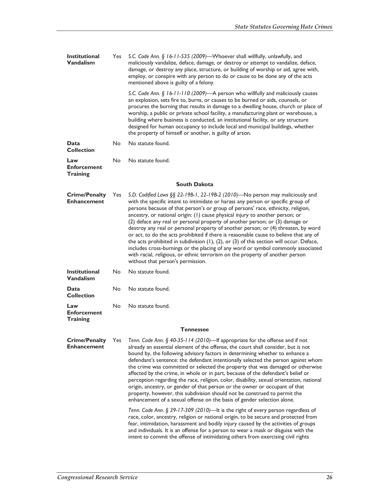| <b>Institutional</b><br>Vandalism            | Yes | S.C. Code Ann. § 16-11-535 (2009)-Whoever shall willfully, unlawfully, and<br>maliciously vandalize, deface, damage, or destroy or attempt to vandalize, deface,<br>damage, or destroy any place, structure, or building of worship or aid, agree with,<br>employ, or conspire with any person to do or cause to be done any of the acts<br>mentioned above is guilty of a felony.                                                                                                                                                                                                                                                                                                                                                                                                                                                                                                                        |  |
|----------------------------------------------|-----|-----------------------------------------------------------------------------------------------------------------------------------------------------------------------------------------------------------------------------------------------------------------------------------------------------------------------------------------------------------------------------------------------------------------------------------------------------------------------------------------------------------------------------------------------------------------------------------------------------------------------------------------------------------------------------------------------------------------------------------------------------------------------------------------------------------------------------------------------------------------------------------------------------------|--|
|                                              |     | S.C. Code Ann. § 16-11-110 (2009)—A person who willfully and maliciously causes<br>an explosion, sets fire to, burns, or causes to be burned or aids, counsels, or<br>procures the burning that results in damage to a dwelling house, church or place of<br>worship, a public or private school facility, a manufacturing plant or warehouse, a<br>building where business is conducted, an institutional facility, or any structure<br>designed for human occupancy to include local and municipal buildings, whether<br>the property of himself or another, is guilty of arson.                                                                                                                                                                                                                                                                                                                        |  |
| <b>Data</b><br><b>Collection</b>             | No. | No statute found.                                                                                                                                                                                                                                                                                                                                                                                                                                                                                                                                                                                                                                                                                                                                                                                                                                                                                         |  |
| Law<br><b>Enforcement</b><br><b>Training</b> | No. | No statute found.                                                                                                                                                                                                                                                                                                                                                                                                                                                                                                                                                                                                                                                                                                                                                                                                                                                                                         |  |
|                                              |     | <b>South Dakota</b>                                                                                                                                                                                                                                                                                                                                                                                                                                                                                                                                                                                                                                                                                                                                                                                                                                                                                       |  |
| <b>Crime/Penalty</b><br><b>Enhancement</b>   | Yes | S.D. Codified Laws §§ 22-19B-1, 22-19B-2 (2010)-No person may maliciously and<br>with the specific intent to intimidate or harass any person or specific group of<br>persons because of that person's or group of persons' race, ethnicity, religion,<br>ancestry, or national origin: (1) cause physical injury to another person; or<br>(2) deface any real or personal property of another person; or (3) damage or<br>destroy any real or personal property of another person; or (4) threaten, by word<br>or act, to do the acts prohibited if there is reasonable cause to believe that any of<br>the acts prohibited in subdivision (1), (2), or (3) of this section will occur. Deface,<br>includes cross-burnings or the placing of any word or symbol commonly associated<br>with racial, religious, or ethnic terrorism on the property of another person<br>without that person's permission. |  |
| <b>Institutional</b><br>Vandalism            | No. | No statute found.                                                                                                                                                                                                                                                                                                                                                                                                                                                                                                                                                                                                                                                                                                                                                                                                                                                                                         |  |
| Data<br><b>Collection</b>                    | No. | No statute found.                                                                                                                                                                                                                                                                                                                                                                                                                                                                                                                                                                                                                                                                                                                                                                                                                                                                                         |  |
| Law<br><b>Enforcement</b><br><b>Training</b> | No  | No statute found.                                                                                                                                                                                                                                                                                                                                                                                                                                                                                                                                                                                                                                                                                                                                                                                                                                                                                         |  |
|                                              |     | <b>Tennessee</b>                                                                                                                                                                                                                                                                                                                                                                                                                                                                                                                                                                                                                                                                                                                                                                                                                                                                                          |  |
| <b>Crime/Penalty</b><br><b>Enhancement</b>   | Yes | Tenn. Code Ann. § 40-35-114 (2010)-If appropriate for the offense and if not<br>already an essential element of the offense, the court shall consider, but is not<br>bound by, the following advisory factors in determining whether to enhance a<br>defendant's sentence: the defendant intentionally selected the person against whom<br>the crime was committed or selected the property that was damaged or otherwise<br>affected by the crime, in whole or in part, because of the defendant's belief or<br>perception regarding the race, religion, color, disability, sexual orientation, national<br>origin, ancestry, or gender of that person or the owner or occupant of that<br>property, however, this subdivision should not be construed to permit the<br>enhancement of a sexual offense on the basis of gender selection alone.                                                          |  |
|                                              |     | Tenn. Code Ann. § 39-17-309 (2010)—It is the right of every person regardless of<br>race, color, ancestry, religion or national origin, to be secure and protected from<br>fear, intimidation, harassment and bodily injury caused by the activities of groups<br>and individuals. It is an offense for a person to wear a mask or disguise with the<br>intent to commit the offense of intimidating others from exercising civil rights                                                                                                                                                                                                                                                                                                                                                                                                                                                                  |  |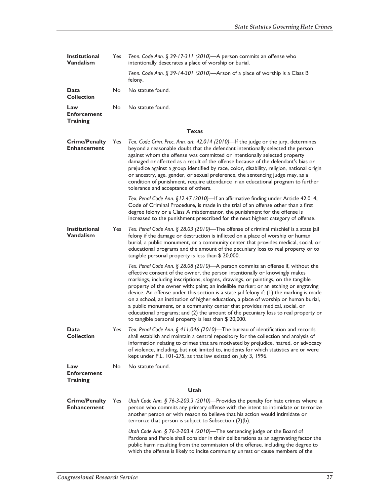| <b>Institutional</b><br><b>Vandalism</b>     | Yes | Tenn. Code Ann. § 39-17-311 (2010)—A person commits an offense who<br>intentionally desecrates a place of worship or burial.                                                                                                                                                                                                                                                                                                                                                                                                                                                                                                                                                                                                                                |  |  |
|----------------------------------------------|-----|-------------------------------------------------------------------------------------------------------------------------------------------------------------------------------------------------------------------------------------------------------------------------------------------------------------------------------------------------------------------------------------------------------------------------------------------------------------------------------------------------------------------------------------------------------------------------------------------------------------------------------------------------------------------------------------------------------------------------------------------------------------|--|--|
|                                              |     | Tenn. Code Ann. § 39-14-301 (2010)—Arson of a place of worship is a Class B<br>felony.                                                                                                                                                                                                                                                                                                                                                                                                                                                                                                                                                                                                                                                                      |  |  |
| Data<br><b>Collection</b>                    | No  | No statute found.                                                                                                                                                                                                                                                                                                                                                                                                                                                                                                                                                                                                                                                                                                                                           |  |  |
| Law<br><b>Enforcement</b><br><b>Training</b> | No  | No statute found.                                                                                                                                                                                                                                                                                                                                                                                                                                                                                                                                                                                                                                                                                                                                           |  |  |
|                                              |     | <b>Texas</b>                                                                                                                                                                                                                                                                                                                                                                                                                                                                                                                                                                                                                                                                                                                                                |  |  |
| <b>Crime/Penalty</b><br><b>Enhancement</b>   | Yes | Tex. Code Crim. Proc. Ann. art. 42.014 (2010)-If the judge or the jury, determines<br>beyond a reasonable doubt that the defendant intentionally selected the person<br>against whom the offense was committed or intentionally selected property<br>damaged or affected as a result of the offense because of the defendant's bias or<br>prejudice against a group identified by race, color, disability, religion, national origin<br>or ancestry, age, gender, or sexual preference, the sentencing judge may, as a<br>condition of punishment, require attendance in an educational program to further<br>tolerance and acceptance of others.                                                                                                           |  |  |
|                                              |     | Tex. Penal Code Ann. §12.47 (2010)—If an affirmative finding under Article 42.014,<br>Code of Criminal Procedure, is made in the trial of an offense other than a first<br>degree felony or a Class A misdemeanor, the punishment for the offense is<br>increased to the punishment prescribed for the next highest category of offense.                                                                                                                                                                                                                                                                                                                                                                                                                    |  |  |
| <b>Institutional</b><br>Vandalism            | Yes | Tex. Penal Code Ann. § 28.03 (2010)-The offense of criminal mischief is a state jail<br>felony if the damage or destruction is inflicted on a place of worship or human<br>burial, a public monument, or a community center that provides medical, social, or<br>educational programs and the amount of the pecuniary loss to real property or to<br>tangible personal property is less than \$ 20,000.                                                                                                                                                                                                                                                                                                                                                     |  |  |
|                                              |     | Tex. Penal Code Ann. § 28.08 (2010)—A person commits an offense if, without the<br>effective consent of the owner, the person intentionally or knowingly makes<br>markings, including inscriptions, slogans, drawings, or paintings, on the tangible<br>property of the owner with: paint; an indelible marker; or an etching or engraving<br>device. An offense under this section is a state jail felony if: (1) the marking is made<br>on a school, an institution of higher education, a place of worship or human burial,<br>a public monument, or a community center that provides medical, social, or<br>educational programs; and (2) the amount of the pecuniary loss to real property or<br>to tangible personal property is less than \$ 20,000. |  |  |
| Data<br>Collection                           | Yes | Tex. Penal Code Ann. § 411.046 (2010)-The bureau of identification and records<br>shall establish and maintain a central repository for the collection and analysis of<br>information relating to crimes that are motivated by prejudice, hatred, or advocacy<br>of violence, including, but not limited to, incidents for which statistics are or were<br>kept under P.L. 101-275, as that law existed on July 3, 1996.                                                                                                                                                                                                                                                                                                                                    |  |  |
| Law<br><b>Enforcement</b><br><b>Training</b> | No  | No statute found.                                                                                                                                                                                                                                                                                                                                                                                                                                                                                                                                                                                                                                                                                                                                           |  |  |
|                                              |     | Utah                                                                                                                                                                                                                                                                                                                                                                                                                                                                                                                                                                                                                                                                                                                                                        |  |  |
| <b>Crime/Penalty</b><br><b>Enhancement</b>   | Yes | Utah Code Ann. $\S$ 76-3-203.3 (2010)—Provides the penalty for hate crimes where a<br>person who commits any primary offense with the intent to intimidate or terrorize<br>another person or with reason to believe that his action would intimidate or<br>terrorize that person is subject to Subsection $(2)(b)$ .                                                                                                                                                                                                                                                                                                                                                                                                                                        |  |  |
|                                              |     | Utah Code Ann. § 76-3-203.4 (2010)-The sentencing judge or the Board of<br>Pardons and Parole shall consider in their deliberations as an aggravating factor the<br>public harm resulting from the commission of the offense, including the degree to<br>which the offense is likely to incite community unrest or cause members of the                                                                                                                                                                                                                                                                                                                                                                                                                     |  |  |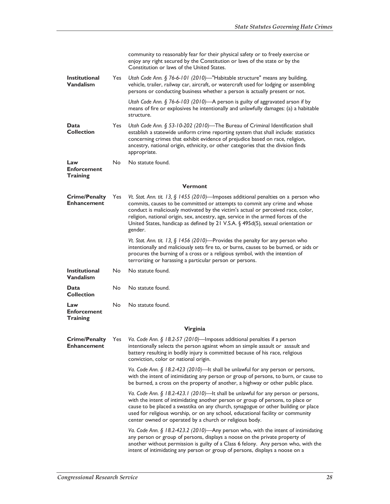|                                              |     | community to reasonably fear for their physical safety or to freely exercise or<br>enjoy any right secured by the Constitution or laws of the state or by the<br>Constitution or laws of the United States.                                                                                                                                                                                                                              |
|----------------------------------------------|-----|------------------------------------------------------------------------------------------------------------------------------------------------------------------------------------------------------------------------------------------------------------------------------------------------------------------------------------------------------------------------------------------------------------------------------------------|
| <b>Institutional</b><br>Vandalism            | Yes | Utah Code Ann. § 76-6-101 (2010)-"Habitable structure" means any building,<br>vehicle, trailer, railway car, aircraft, or watercraft used for lodging or assembling<br>persons or conducting business whether a person is actually present or not.                                                                                                                                                                                       |
|                                              |     | Utah Code Ann. $\S$ 76-6-103 (2010)—A person is guilty of aggravated arson if by<br>means of fire or explosives he intentionally and unlawfully damages: (a) a habitable<br>structure.                                                                                                                                                                                                                                                   |
| <b>Data</b><br><b>Collection</b>             | Yes | Utah Code Ann. § 53-10-202 (2010)-The Bureau of Criminal Identification shall<br>establish a statewide uniform crime reporting system that shall include: statistics<br>concerning crimes that exhibit evidence of prejudice based on race, religion,<br>ancestry, national origin, ethnicity, or other categories that the division finds<br>appropriate.                                                                               |
| Law<br><b>Enforcement</b><br><b>Training</b> | No. | No statute found.                                                                                                                                                                                                                                                                                                                                                                                                                        |
|                                              |     | Vermont                                                                                                                                                                                                                                                                                                                                                                                                                                  |
| <b>Crime/Penalty</b><br><b>Enhancement</b>   | Yes | Vt. Stat. Ann. tit. 13, § 1455 (2010)—Imposes additional penalties on a person who<br>commits, causes to be committed or attempts to commit any crime and whose<br>conduct is maliciously motivated by the victim's actual or perceived race, color,<br>religion, national origin, sex, ancestry, age, service in the armed forces of the<br>United States, handicap as defined by 21 V.S.A. § 495d(5), sexual orientation or<br>gender. |
|                                              |     | Vt. Stat. Ann. tit. 13, § 1456 (2010)-Provides the penalty for any person who<br>intentionally and maliciously sets fire to, or burns, causes to be burned, or aids or<br>procures the burning of a cross or a religious symbol, with the intention of<br>terrorizing or harassing a particular person or persons.                                                                                                                       |
| <b>Institutional</b><br>Vandalism            | No. | No statute found.                                                                                                                                                                                                                                                                                                                                                                                                                        |
| Data<br><b>Collection</b>                    | No  | No statute found.                                                                                                                                                                                                                                                                                                                                                                                                                        |
| Law<br><b>Enforcement</b><br><b>Training</b> | No  | No statute found.                                                                                                                                                                                                                                                                                                                                                                                                                        |
|                                              |     | Virginia                                                                                                                                                                                                                                                                                                                                                                                                                                 |
| <b>Crime/Penalty</b><br><b>Enhancement</b>   | Yes | Va. Code Ann. § 18.2-57 (2010)-Imposes additional penalties if a person<br>intentionally selects the person against whom an simple assault or assault and<br>battery resulting in bodily injury is committed because of his race, religious<br>conviction, color or national origin.                                                                                                                                                     |
|                                              |     | Va. Code Ann. § 18.2-423 (2010)—It shall be unlawful for any person or persons,<br>with the intent of intimidating any person or group of persons, to burn, or cause to<br>be burned, a cross on the property of another, a highway or other public place.                                                                                                                                                                               |
|                                              |     | Va. Code Ann. § 18.2-423.1 (2010)-lt shall be unlawful for any person or persons,<br>with the intent of intimidating another person or group of persons, to place or<br>cause to be placed a swastika on any church, synagogue or other building or place<br>used for religious worship, or on any school, educational facility or community<br>center owned or operated by a church or religious body.                                  |
|                                              |     | Va. Code Ann. $\S$ 18.2-423.2 (2010)—Any person who, with the intent of intimidating<br>any person or group of persons, displays a noose on the private property of<br>another without permission is guilty of a Class 6 felony. Any person who, with the<br>intent of intimidating any person or group of persons, displays a noose on a                                                                                                |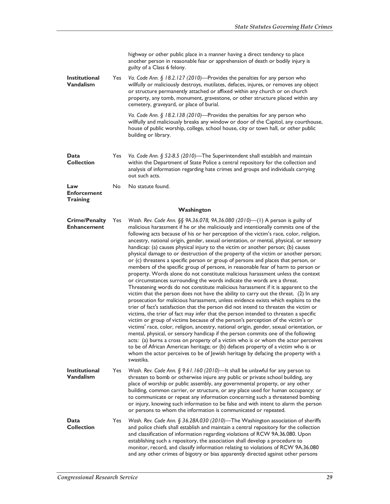highway or other public place in a manner having a direct tendency to place another person in reasonable fear or apprehension of death or bodily injury is guilty of a Class 6 felony.

**Institutional Vandalism**  Yes *Va. Code Ann. § 18.2.127 (2010)—*Provides the penalties for any person who willfully or maliciously destroys, mutilates, defaces, injures, or removes any object or structure permanently attached or affixed within any church or on church property, any tomb, monument, gravestone, or other structure placed within any cemetery, graveyard, or place of burial.

> *Va. Code Ann. § 18.2.138 (2010)*—Provides the penalties for any person who willfully and maliciously breaks any window or door of the Capitol, any courthouse, house of public worship, college, school house, city or town hall, or other public building or library.

**Data Collection**  Yes *Va. Code Ann. § 52-8.5 (2010)*—The Superintendent shall establish and maintain within the Department of State Police a central repository for the collection and analysis of information regarding hate crimes and groups and individuals carrying out such acts.

**Law Enforcement Training**  No No statute found.

#### **Washington**

**Crime/Penalty Enhancement**  Yes *Wash. Rev. Code Ann. §§ 9A.36.078, 9A.36.080 (2010)*—(1) A person is guilty of malicious harassment if he or she maliciously and intentionally commits one of the following acts because of his or her perception of the victim's race, color, religion, ancestry, national origin, gender, sexual orientation, or mental, physical, or sensory handicap: (a) causes physical injury to the victim or another person; (b) causes physical damage to or destruction of the property of the victim or another person; or (c) threatens a specific person or group of persons and places that person, or members of the specific group of persons, in reasonable fear of harm to person or property. Words alone do not constitute malicious harassment unless the context or circumstances surrounding the words indicate the words are a threat. Threatening words do not constitute malicious harassment if it is apparent to the victim that the person does not have the ability to carry out the threat. (2) In any prosecution for malicious harassment, unless evidence exists which explains to the trier of fact's satisfaction that the person did not intend to threaten the victim or victims, the trier of fact may infer that the person intended to threaten a specific victim or group of victims because of the person's perception of the victim's or victims' race, color, religion, ancestry, national origin, gender, sexual orientation, or mental, physical, or sensory handicap if the person commits one of the following acts: (a) burns a cross on property of a victim who is or whom the actor perceives to be of African American heritage; or (b) defaces property of a victim who is or whom the actor perceives to be of Jewish heritage by defacing the property with a swastika.

**Institutional Vandalism**  Yes *Wash. Rev. Code Ann. § 9.61.160 (2010)*—It shall be unlawful for any person to threaten to bomb or otherwise injure any public or private school building, any place of worship or public assembly, any governmental property, or any other building, common carrier, or structure, or any place used for human occupancy; or to communicate or repeat any information concerning such a threatened bombing or injury, knowing such information to be false and with intent to alarm the person or persons to whom the information is communicated or repeated.

**Data Collection**  Yes *Wash. Rev. Code Ann. § 36.28A.030 (2010)*—The Washington association of sheriffs and police chiefs shall establish and maintain a central repository for the collection and classification of information regarding violations of RCW 9A.36.080. Upon establishing such a repository, the association shall develop a procedure to monitor, record, and classify information relating to violations of RCW 9A.36.080 and any other crimes of bigotry or bias apparently directed against other persons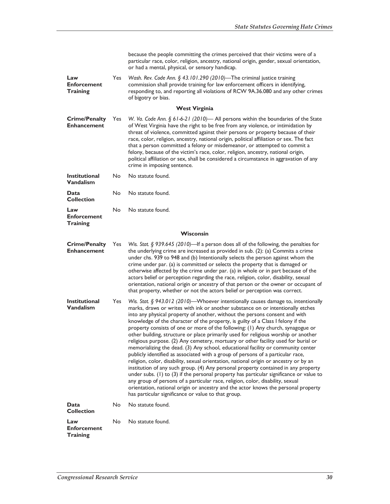because the people committing the crimes perceived that their victims were of a particular race, color, religion, ancestry, national origin, gender, sexual orientation, or had a mental, physical, or sensory handicap.

**Law Enforcement Training**  Yes *Wash. Rev. Code Ann. § 43.101.290 (2010)*—The criminal justice training commission shall provide training for law enforcement officers in identifying, responding to, and reporting all violations of RCW 9A.36.080 and any other crimes of bigotry or bias.

#### **West Virginia**

**Crime/Penalty Enhancement**  Yes *W. Va. Code Ann. § 61-6-21 (2010)*— All persons within the boundaries of the State of West Virginia have the right to be free from any violence, or intimidation by threat of violence, committed against their persons or property because of their race, color, religion, ancestry, national origin, political affiliation or sex. The fact that a person committed a felony or misdemeanor, or attempted to commit a felony, because of the victim's race, color, religion, ancestry, national origin, political affiliation or sex, shall be considered a circumstance in aggravation of any crime in imposing sentence.

**Institutional Vandalism**  No No statute found. **Data Collection**  No No statute found. **Law Enforcement Training**  No No statute found. **Wisconsin Crime/Penalty Enhancement**  Wis. Stat. § 939.645 (2010)—If a person does all of the following, the penalties for the underlying crime are increased as provided in sub. (2): (a) Commits a crime under chs. 939 to 948 and (b) Intentionally selects the person against whom the

crime under par. (a) is committed or selects the property that is damaged or otherwise affected by the crime under par. (a) in whole or in part because of the actors belief or perception regarding the race, religion, color, disability, sexual orientation, national origin or ancestry of that person or the owner or occupant of that property, whether or not the actors belief or perception was correct.

**Institutional Vandalism**  Yes *Wis. Stat. § 943.012 (2010)*—Whoever intentionally causes damage to, intentionally marks, draws or writes with ink or another substance on or intentionally etches into any physical property of another, without the persons consent and with knowledge of the character of the property, is guilty of a Class I felony if the property consists of one or more of the following: (1) Any church, synagogue or other building, structure or place primarily used for religious worship or another religious purpose. (2) Any cemetery, mortuary or other facility used for burial or memorializing the dead. (3) Any school, educational facility or community center publicly identified as associated with a group of persons of a particular race, religion, color, disability, sexual orientation, national origin or ancestry or by an institution of any such group. (4) Any personal property contained in any property under subs. (1) to (3) if the personal property has particular significance or value to any group of persons of a particular race, religion, color, disability, sexual orientation, national origin or ancestry and the actor knows the personal property has particular significance or value to that group.

| Data<br><b>Collection</b>                    |     | No No statute found. |
|----------------------------------------------|-----|----------------------|
| Law<br><b>Enforcement</b><br><b>Training</b> | No. | No statute found.    |